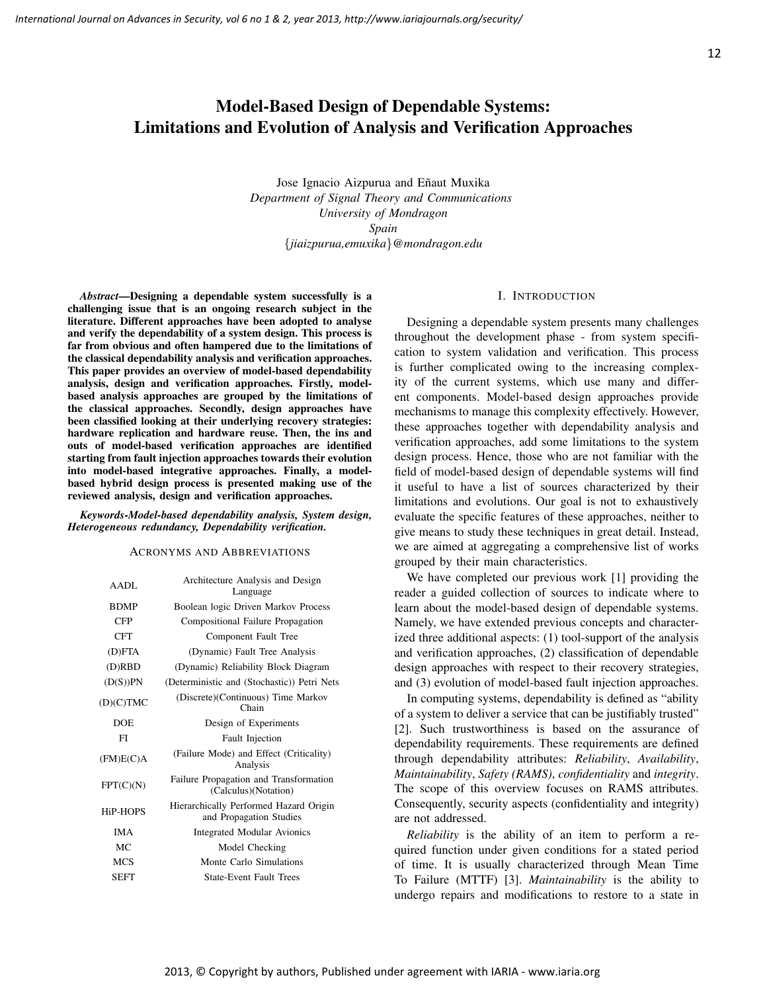# Model-Based Design of Dependable Systems: Limitations and Evolution of Analysis and Verification Approaches

Jose Ignacio Aizpurua and Eñaut Muxika *Department of Signal Theory and Communications University of Mondragon Spain* {*jiaizpurua,emuxika*}*@mondragon.edu*

*Abstract*—Designing a dependable system successfully is a challenging issue that is an ongoing research subject in the literature. Different approaches have been adopted to analyse and verify the dependability of a system design. This process is far from obvious and often hampered due to the limitations of the classical dependability analysis and verification approaches. This paper provides an overview of model-based dependability analysis, design and verification approaches. Firstly, modelbased analysis approaches are grouped by the limitations of the classical approaches. Secondly, design approaches have been classified looking at their underlying recovery strategies: hardware replication and hardware reuse. Then, the ins and outs of model-based verification approaches are identified starting from fault injection approaches towards their evolution into model-based integrative approaches. Finally, a modelbased hybrid design process is presented making use of the reviewed analysis, design and verification approaches.

*Keywords*-*Model-based dependability analysis, System design, Heterogeneous redundancy, Dependability verification.*

#### ACRONYMS AND ABBREVIATIONS

| AADL                  | Architecture Analysis and Design<br>Language                      |
|-----------------------|-------------------------------------------------------------------|
| <b>BDMP</b>           | Boolean logic Driven Markov Process                               |
| <b>CFP</b>            | Compositional Failure Propagation                                 |
| <b>CFT</b>            | Component Fault Tree                                              |
| (D)FTA                | (Dynamic) Fault Tree Analysis                                     |
| (D)RBD                | (Dynamic) Reliability Block Diagram                               |
| (D(S))PN              | (Deterministic and (Stochastic)) Petri Nets                       |
| (D)(C)TMC             | (Discrete) (Continuous) Time Markov<br>Chain                      |
| <b>DOE</b>            | Design of Experiments                                             |
| FI                    | <b>Fault Injection</b>                                            |
| (FM)E(C)A             | (Failure Mode) and Effect (Criticality)<br>Analysis               |
| FPT(C)(N)             | Failure Propagation and Transformation<br>(Calculus)(Notation)    |
| H <sub>i</sub> P-HOPS | Hierarchically Performed Hazard Origin<br>and Propagation Studies |
| <b>IMA</b>            | <b>Integrated Modular Avionics</b>                                |
| MC.                   | Model Checking                                                    |
| <b>MCS</b>            | Monte Carlo Simulations                                           |
| SEFT                  | <b>State-Event Fault Trees</b>                                    |
|                       |                                                                   |

## I. INTRODUCTION

Designing a dependable system presents many challenges throughout the development phase - from system specification to system validation and verification. This process is further complicated owing to the increasing complexity of the current systems, which use many and different components. Model-based design approaches provide mechanisms to manage this complexity effectively. However, these approaches together with dependability analysis and verification approaches, add some limitations to the system design process. Hence, those who are not familiar with the field of model-based design of dependable systems will find it useful to have a list of sources characterized by their limitations and evolutions. Our goal is not to exhaustively evaluate the specific features of these approaches, neither to give means to study these techniques in great detail. Instead, we are aimed at aggregating a comprehensive list of works grouped by their main characteristics.

We have completed our previous work [1] providing the reader a guided collection of sources to indicate where to learn about the model-based design of dependable systems. Namely, we have extended previous concepts and characterized three additional aspects: (1) tool-support of the analysis and verification approaches, (2) classification of dependable design approaches with respect to their recovery strategies, and (3) evolution of model-based fault injection approaches.

In computing systems, dependability is defined as "ability of a system to deliver a service that can be justifiably trusted" [2]. Such trustworthiness is based on the assurance of dependability requirements. These requirements are defined through dependability attributes: *Reliability*, *Availability*, *Maintainability*, *Safety (RAMS)*, *confidentiality* and *integrity*. The scope of this overview focuses on RAMS attributes. Consequently, security aspects (confidentiality and integrity) are not addressed.

*Reliability* is the ability of an item to perform a required function under given conditions for a stated period of time. It is usually characterized through Mean Time To Failure (MTTF) [3]. *Maintainability* is the ability to undergo repairs and modifications to restore to a state in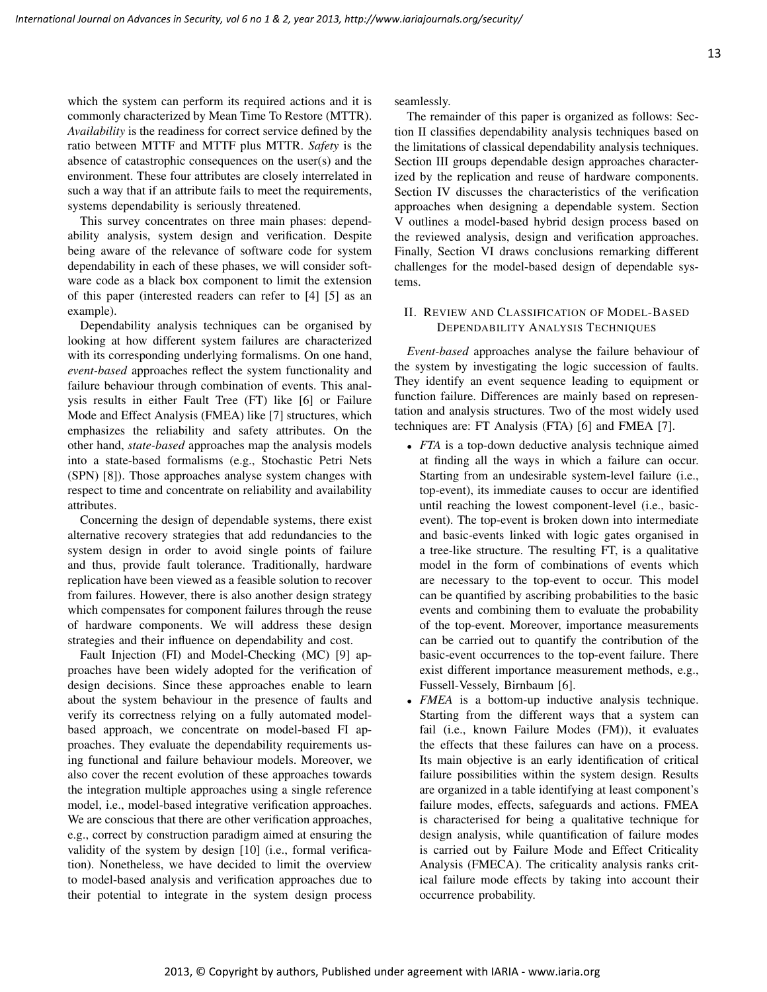which the system can perform its required actions and it is commonly characterized by Mean Time To Restore (MTTR). *Availability* is the readiness for correct service defined by the ratio between MTTF and MTTF plus MTTR. *Safety* is the absence of catastrophic consequences on the user(s) and the environment. These four attributes are closely interrelated in such a way that if an attribute fails to meet the requirements, systems dependability is seriously threatened.

This survey concentrates on three main phases: dependability analysis, system design and verification. Despite being aware of the relevance of software code for system dependability in each of these phases, we will consider software code as a black box component to limit the extension of this paper (interested readers can refer to [4] [5] as an example).

Dependability analysis techniques can be organised by looking at how different system failures are characterized with its corresponding underlying formalisms. On one hand, *event-based* approaches reflect the system functionality and failure behaviour through combination of events. This analysis results in either Fault Tree (FT) like [6] or Failure Mode and Effect Analysis (FMEA) like [7] structures, which emphasizes the reliability and safety attributes. On the other hand, *state-based* approaches map the analysis models into a state-based formalisms (e.g., Stochastic Petri Nets (SPN) [8]). Those approaches analyse system changes with respect to time and concentrate on reliability and availability attributes.

Concerning the design of dependable systems, there exist alternative recovery strategies that add redundancies to the system design in order to avoid single points of failure and thus, provide fault tolerance. Traditionally, hardware replication have been viewed as a feasible solution to recover from failures. However, there is also another design strategy which compensates for component failures through the reuse of hardware components. We will address these design strategies and their influence on dependability and cost.

Fault Injection (FI) and Model-Checking (MC) [9] approaches have been widely adopted for the verification of design decisions. Since these approaches enable to learn about the system behaviour in the presence of faults and verify its correctness relying on a fully automated modelbased approach, we concentrate on model-based FI approaches. They evaluate the dependability requirements using functional and failure behaviour models. Moreover, we also cover the recent evolution of these approaches towards the integration multiple approaches using a single reference model, i.e., model-based integrative verification approaches. We are conscious that there are other verification approaches, e.g., correct by construction paradigm aimed at ensuring the validity of the system by design [10] (i.e., formal verification). Nonetheless, we have decided to limit the overview to model-based analysis and verification approaches due to their potential to integrate in the system design process seamlessly.

The remainder of this paper is organized as follows: Section II classifies dependability analysis techniques based on the limitations of classical dependability analysis techniques. Section III groups dependable design approaches characterized by the replication and reuse of hardware components. Section IV discusses the characteristics of the verification approaches when designing a dependable system. Section V outlines a model-based hybrid design process based on the reviewed analysis, design and verification approaches. Finally, Section VI draws conclusions remarking different challenges for the model-based design of dependable systems.

## II. REVIEW AND CLASSIFICATION OF MODEL-BASED DEPENDABILITY ANALYSIS TECHNIQUES

*Event-based* approaches analyse the failure behaviour of the system by investigating the logic succession of faults. They identify an event sequence leading to equipment or function failure. Differences are mainly based on representation and analysis structures. Two of the most widely used techniques are: FT Analysis (FTA) [6] and FMEA [7].

- *FTA* is a top-down deductive analysis technique aimed at finding all the ways in which a failure can occur. Starting from an undesirable system-level failure (i.e., top-event), its immediate causes to occur are identified until reaching the lowest component-level (i.e., basicevent). The top-event is broken down into intermediate and basic-events linked with logic gates organised in a tree-like structure. The resulting FT, is a qualitative model in the form of combinations of events which are necessary to the top-event to occur. This model can be quantified by ascribing probabilities to the basic events and combining them to evaluate the probability of the top-event. Moreover, importance measurements can be carried out to quantify the contribution of the basic-event occurrences to the top-event failure. There exist different importance measurement methods, e.g., Fussell-Vessely, Birnbaum [6].
- *FMEA* is a bottom-up inductive analysis technique. Starting from the different ways that a system can fail (i.e., known Failure Modes (FM)), it evaluates the effects that these failures can have on a process. Its main objective is an early identification of critical failure possibilities within the system design. Results are organized in a table identifying at least component's failure modes, effects, safeguards and actions. FMEA is characterised for being a qualitative technique for design analysis, while quantification of failure modes is carried out by Failure Mode and Effect Criticality Analysis (FMECA). The criticality analysis ranks critical failure mode effects by taking into account their occurrence probability.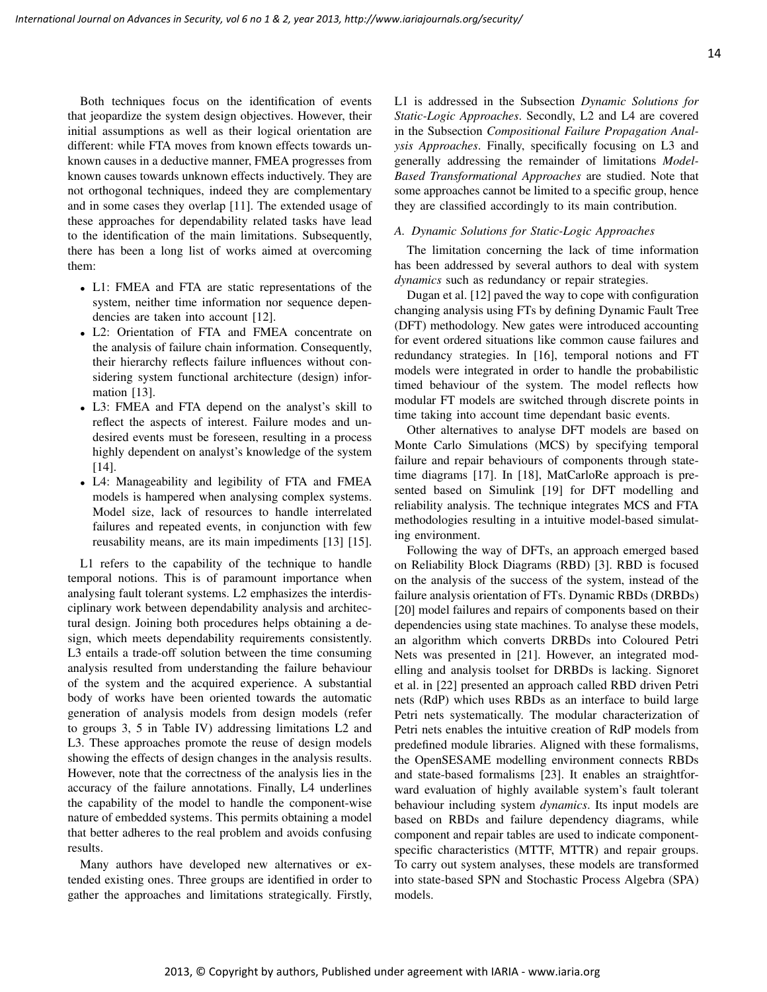Both techniques focus on the identification of events that jeopardize the system design objectives. However, their initial assumptions as well as their logical orientation are different: while FTA moves from known effects towards unknown causes in a deductive manner, FMEA progresses from known causes towards unknown effects inductively. They are

not orthogonal techniques, indeed they are complementary and in some cases they overlap [11]. The extended usage of these approaches for dependability related tasks have lead to the identification of the main limitations. Subsequently, there has been a long list of works aimed at overcoming them:

- L1: FMEA and FTA are static representations of the system, neither time information nor sequence dependencies are taken into account [12].
- L2: Orientation of FTA and FMEA concentrate on the analysis of failure chain information. Consequently, their hierarchy reflects failure influences without considering system functional architecture (design) information [13].
- L3: FMEA and FTA depend on the analyst's skill to reflect the aspects of interest. Failure modes and undesired events must be foreseen, resulting in a process highly dependent on analyst's knowledge of the system [14].
- L4: Manageability and legibility of FTA and FMEA models is hampered when analysing complex systems. Model size, lack of resources to handle interrelated failures and repeated events, in conjunction with few reusability means, are its main impediments [13] [15].

L1 refers to the capability of the technique to handle temporal notions. This is of paramount importance when analysing fault tolerant systems. L2 emphasizes the interdisciplinary work between dependability analysis and architectural design. Joining both procedures helps obtaining a design, which meets dependability requirements consistently. L3 entails a trade-off solution between the time consuming analysis resulted from understanding the failure behaviour of the system and the acquired experience. A substantial body of works have been oriented towards the automatic generation of analysis models from design models (refer to groups 3, 5 in Table IV) addressing limitations L2 and L3. These approaches promote the reuse of design models showing the effects of design changes in the analysis results. However, note that the correctness of the analysis lies in the accuracy of the failure annotations. Finally, L4 underlines the capability of the model to handle the component-wise nature of embedded systems. This permits obtaining a model that better adheres to the real problem and avoids confusing results.

Many authors have developed new alternatives or extended existing ones. Three groups are identified in order to gather the approaches and limitations strategically. Firstly, L1 is addressed in the Subsection *Dynamic Solutions for Static-Logic Approaches*. Secondly, L2 and L4 are covered in the Subsection *Compositional Failure Propagation Analysis Approaches*. Finally, specifically focusing on L3 and generally addressing the remainder of limitations *Model-Based Transformational Approaches* are studied. Note that some approaches cannot be limited to a specific group, hence they are classified accordingly to its main contribution.

## *A. Dynamic Solutions for Static-Logic Approaches*

The limitation concerning the lack of time information has been addressed by several authors to deal with system *dynamics* such as redundancy or repair strategies.

Dugan et al. [12] paved the way to cope with configuration changing analysis using FTs by defining Dynamic Fault Tree (DFT) methodology. New gates were introduced accounting for event ordered situations like common cause failures and redundancy strategies. In [16], temporal notions and FT models were integrated in order to handle the probabilistic timed behaviour of the system. The model reflects how modular FT models are switched through discrete points in time taking into account time dependant basic events.

Other alternatives to analyse DFT models are based on Monte Carlo Simulations (MCS) by specifying temporal failure and repair behaviours of components through statetime diagrams [17]. In [18], MatCarloRe approach is presented based on Simulink [19] for DFT modelling and reliability analysis. The technique integrates MCS and FTA methodologies resulting in a intuitive model-based simulating environment.

Following the way of DFTs, an approach emerged based on Reliability Block Diagrams (RBD) [3]. RBD is focused on the analysis of the success of the system, instead of the failure analysis orientation of FTs. Dynamic RBDs (DRBDs) [20] model failures and repairs of components based on their dependencies using state machines. To analyse these models, an algorithm which converts DRBDs into Coloured Petri Nets was presented in [21]. However, an integrated modelling and analysis toolset for DRBDs is lacking. Signoret et al. in [22] presented an approach called RBD driven Petri nets (RdP) which uses RBDs as an interface to build large Petri nets systematically. The modular characterization of Petri nets enables the intuitive creation of RdP models from predefined module libraries. Aligned with these formalisms, the OpenSESAME modelling environment connects RBDs and state-based formalisms [23]. It enables an straightforward evaluation of highly available system's fault tolerant behaviour including system *dynamics*. Its input models are based on RBDs and failure dependency diagrams, while component and repair tables are used to indicate componentspecific characteristics (MTTF, MTTR) and repair groups. To carry out system analyses, these models are transformed into state-based SPN and Stochastic Process Algebra (SPA) models.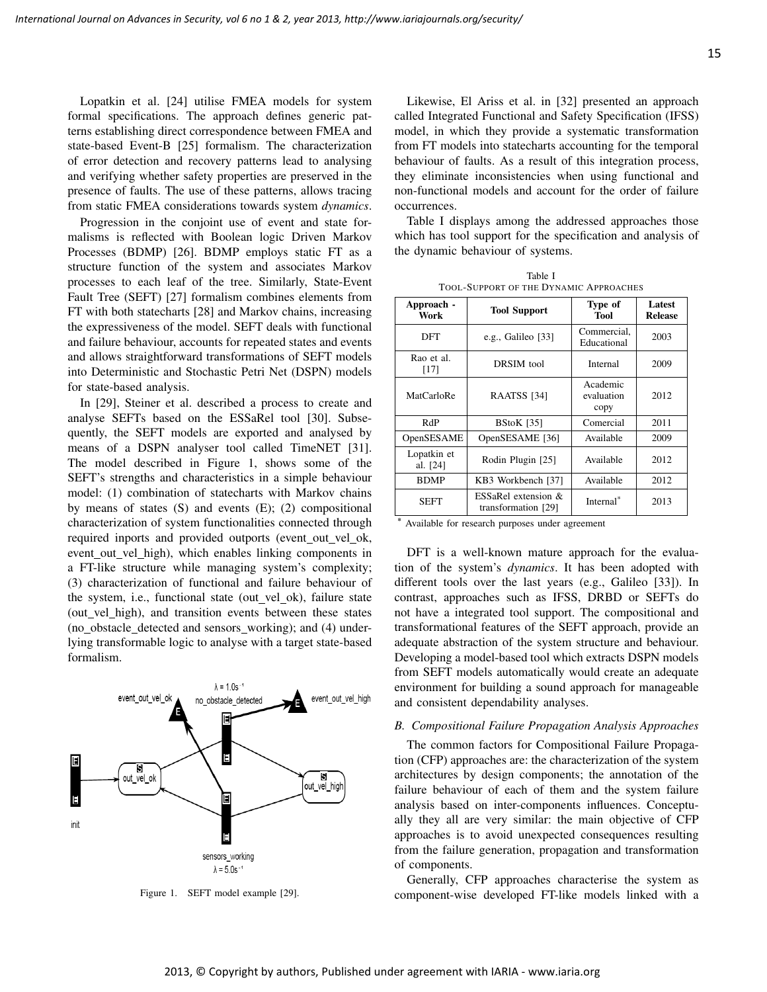Lopatkin et al. [24] utilise FMEA models for system formal specifications. The approach defines generic patterns establishing direct correspondence between FMEA and state-based Event-B [25] formalism. The characterization of error detection and recovery patterns lead to analysing and verifying whether safety properties are preserved in the presence of faults. The use of these patterns, allows tracing from static FMEA considerations towards system *dynamics*.

Progression in the conjoint use of event and state formalisms is reflected with Boolean logic Driven Markov Processes (BDMP) [26]. BDMP employs static FT as a structure function of the system and associates Markov processes to each leaf of the tree. Similarly, State-Event Fault Tree (SEFT) [27] formalism combines elements from FT with both statecharts [28] and Markov chains, increasing the expressiveness of the model. SEFT deals with functional and failure behaviour, accounts for repeated states and events and allows straightforward transformations of SEFT models into Deterministic and Stochastic Petri Net (DSPN) models for state-based analysis.

In [29], Steiner et al. described a process to create and analyse SEFTs based on the ESSaRel tool [30]. Subsequently, the SEFT models are exported and analysed by means of a DSPN analyser tool called TimeNET [31]. The model described in Figure 1, shows some of the SEFT's strengths and characteristics in a simple behaviour model: (1) combination of statecharts with Markov chains by means of states (S) and events (E); (2) compositional characterization of system functionalities connected through required inports and provided outports (event\_out\_vel\_ok, event out vel high), which enables linking components in a FT-like structure while managing system's complexity; (3) characterization of functional and failure behaviour of the system, i.e., functional state (out\_vel\_ok), failure state (out\_vel\_high), and transition events between these states (no obstacle detected and sensors working); and (4) underlying transformable logic to analyse with a target state-based formalism.



Figure 1. SEFT model example [29].

Likewise, El Ariss et al. in [32] presented an approach called Integrated Functional and Safety Specification (IFSS) model, in which they provide a systematic transformation from FT models into statecharts accounting for the temporal behaviour of faults. As a result of this integration process, they eliminate inconsistencies when using functional and non-functional models and account for the order of failure occurrences.

Table I displays among the addressed approaches those which has tool support for the specification and analysis of the dynamic behaviour of systems.

Table I TOOL-SUPPORT OF THE DYNAMIC APPROACHES

| Approach -<br>Work      | <b>Tool Support</b>                           | Type of<br>Tool                | Latest<br><b>Release</b> |
|-------------------------|-----------------------------------------------|--------------------------------|--------------------------|
| DFT                     | e.g., Galileo $[33]$                          | Commercial,<br>Educational     | 2003                     |
| Rao et al.<br>[17]      | DRSIM tool                                    | Internal                       | 2009                     |
| MatCarloRe              | RAATSS [34]                                   | Academic<br>evaluation<br>copy | 2012                     |
| RdP                     | <b>BStoK</b> [35]                             | Comercial                      | 2011                     |
| OpenSESAME              | OpenSESAME [36]                               | Available                      | 2009                     |
| Lopatkin et<br>al. [24] | Rodin Plugin [25]                             | Available                      | 2012                     |
| <b>BDMP</b>             | KB3 Workbench [37]                            | Available                      | 2012                     |
| SEFT                    | ESSaRel extension $\&$<br>transformation [29] | Internal <sup>*</sup>          | 2013                     |

\* Available for research purposes under agreement

DFT is a well-known mature approach for the evaluation of the system's *dynamics*. It has been adopted with different tools over the last years (e.g., Galileo [33]). In contrast, approaches such as IFSS, DRBD or SEFTs do not have a integrated tool support. The compositional and transformational features of the SEFT approach, provide an adequate abstraction of the system structure and behaviour. Developing a model-based tool which extracts DSPN models from SEFT models automatically would create an adequate environment for building a sound approach for manageable and consistent dependability analyses.

## *B. Compositional Failure Propagation Analysis Approaches*

The common factors for Compositional Failure Propagation (CFP) approaches are: the characterization of the system architectures by design components; the annotation of the failure behaviour of each of them and the system failure analysis based on inter-components influences. Conceptually they all are very similar: the main objective of CFP approaches is to avoid unexpected consequences resulting from the failure generation, propagation and transformation of components.

Generally, CFP approaches characterise the system as component-wise developed FT-like models linked with a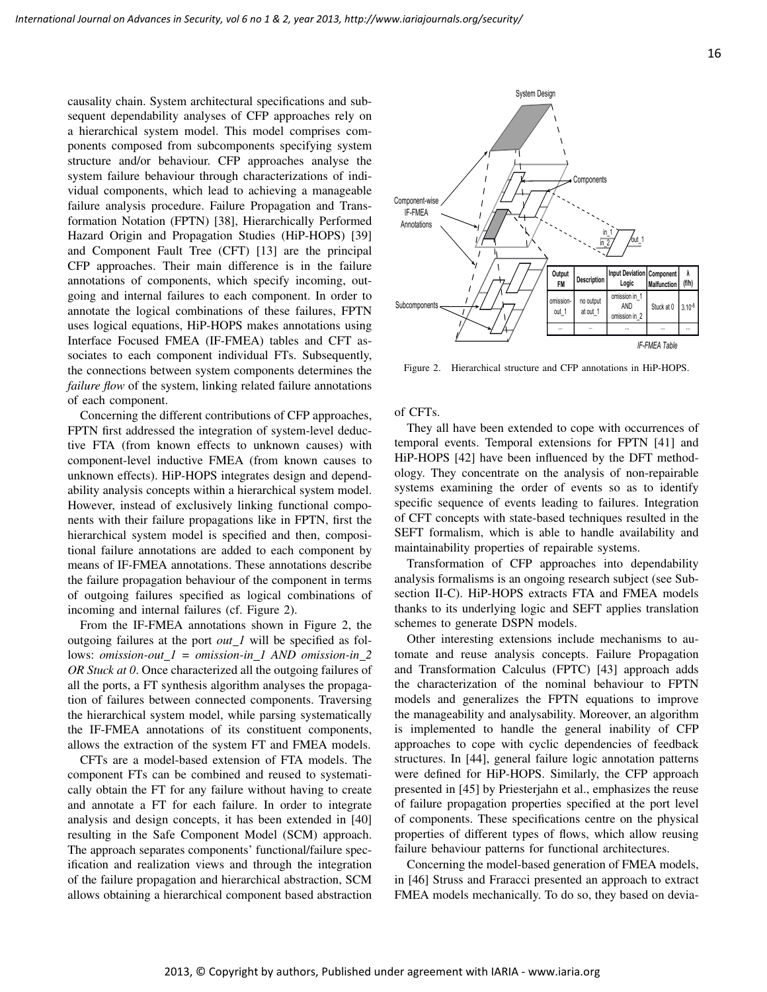causality chain. System architectural specifications and subsequent dependability analyses of CFP approaches rely on a hierarchical system model. This model comprises components composed from subcomponents specifying system structure and/or behaviour. CFP approaches analyse the system failure behaviour through characterizations of individual components, which lead to achieving a manageable failure analysis procedure. Failure Propagation and Transformation Notation (FPTN) [38], Hierarchically Performed Hazard Origin and Propagation Studies (HiP-HOPS) [39] and Component Fault Tree (CFT) [13] are the principal CFP approaches. Their main difference is in the failure annotations of components, which specify incoming, outgoing and internal failures to each component. In order to annotate the logical combinations of these failures, FPTN uses logical equations, HiP-HOPS makes annotations using Interface Focused FMEA (IF-FMEA) tables and CFT associates to each component individual FTs. Subsequently, the connections between system components determines the *failure flow* of the system, linking related failure annotations of each component.

Concerning the different contributions of CFP approaches, FPTN first addressed the integration of system-level deductive FTA (from known effects to unknown causes) with component-level inductive FMEA (from known causes to unknown effects). HiP-HOPS integrates design and dependability analysis concepts within a hierarchical system model. However, instead of exclusively linking functional components with their failure propagations like in FPTN, first the hierarchical system model is specified and then, compositional failure annotations are added to each component by means of IF-FMEA annotations. These annotations describe the failure propagation behaviour of the component in terms of outgoing failures specified as logical combinations of incoming and internal failures (cf. Figure 2).

From the IF-FMEA annotations shown in Figure 2, the outgoing failures at the port *out 1* will be specified as follows: *omission-out 1 = omission-in 1 AND omission-in 2 OR Stuck at 0*. Once characterized all the outgoing failures of all the ports, a FT synthesis algorithm analyses the propagation of failures between connected components. Traversing the hierarchical system model, while parsing systematically the IF-FMEA annotations of its constituent components, allows the extraction of the system FT and FMEA models.

CFTs are a model-based extension of FTA models. The component FTs can be combined and reused to systematically obtain the FT for any failure without having to create and annotate a FT for each failure. In order to integrate analysis and design concepts, it has been extended in [40] resulting in the Safe Component Model (SCM) approach. The approach separates components' functional/failure specification and realization views and through the integration of the failure propagation and hierarchical abstraction, SCM allows obtaining a hierarchical component based abstraction



Figure 2. Hierarchical structure and CFP annotations in HiP-HOPS.

of CFTs.

They all have been extended to cope with occurrences of temporal events. Temporal extensions for FPTN [41] and HiP-HOPS [42] have been influenced by the DFT methodology. They concentrate on the analysis of non-repairable systems examining the order of events so as to identify specific sequence of events leading to failures. Integration of CFT concepts with state-based techniques resulted in the SEFT formalism, which is able to handle availability and maintainability properties of repairable systems.

Transformation of CFP approaches into dependability analysis formalisms is an ongoing research subject (see Subsection II-C). HiP-HOPS extracts FTA and FMEA models thanks to its underlying logic and SEFT applies translation schemes to generate DSPN models.

Other interesting extensions include mechanisms to automate and reuse analysis concepts. Failure Propagation and Transformation Calculus (FPTC) [43] approach adds the characterization of the nominal behaviour to FPTN models and generalizes the FPTN equations to improve the manageability and analysability. Moreover, an algorithm is implemented to handle the general inability of CFP approaches to cope with cyclic dependencies of feedback structures. In [44], general failure logic annotation patterns were defined for HiP-HOPS. Similarly, the CFP approach presented in [45] by Priesterjahn et al., emphasizes the reuse of failure propagation properties specified at the port level of components. These specifications centre on the physical properties of different types of flows, which allow reusing failure behaviour patterns for functional architectures.

Concerning the model-based generation of FMEA models, in [46] Struss and Fraracci presented an approach to extract FMEA models mechanically. To do so, they based on devia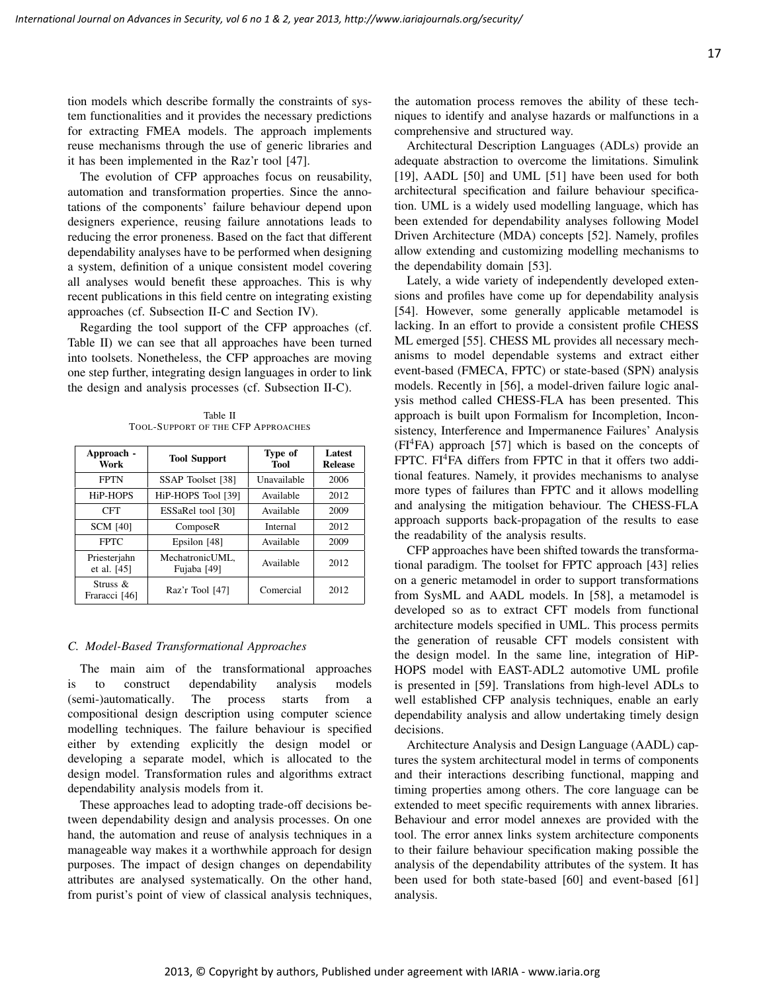tion models which describe formally the constraints of system functionalities and it provides the necessary predictions for extracting FMEA models. The approach implements reuse mechanisms through the use of generic libraries and it has been implemented in the Raz'r tool [47].

The evolution of CFP approaches focus on reusability, automation and transformation properties. Since the annotations of the components' failure behaviour depend upon designers experience, reusing failure annotations leads to reducing the error proneness. Based on the fact that different dependability analyses have to be performed when designing a system, definition of a unique consistent model covering all analyses would benefit these approaches. This is why recent publications in this field centre on integrating existing approaches (cf. Subsection II-C and Section IV).

Regarding the tool support of the CFP approaches (cf. Table II) we can see that all approaches have been turned into toolsets. Nonetheless, the CFP approaches are moving one step further, integrating design languages in order to link the design and analysis processes (cf. Subsection II-C).

Table II TOOL-SUPPORT OF THE CFP APPROACHES

| Approach -<br>Work           | <b>Tool Support</b>            | Type of<br>Tool | Latest<br><b>Release</b> |
|------------------------------|--------------------------------|-----------------|--------------------------|
| <b>FPTN</b>                  | SSAP Toolset [38]              | Unavailable     | 2006                     |
| HiP-HOPS                     | HiP-HOPS Tool [39]             | Available       | 2012                     |
| <b>CFT</b>                   | ESSaRel tool [30]              | Available       | 2009                     |
| <b>SCM [40]</b>              | ComposeR                       | Internal        | 2012                     |
| <b>FPTC</b>                  | Epsilon [48]                   | Available       | 2009                     |
| Priesterjahn<br>et al. [45]  | MechatronicUML.<br>Fujaba [49] | Available       | 2012                     |
| Struss $\&$<br>Fraracci [46] | Raz'r Tool [47]                | Comercial       | 2012                     |

### *C. Model-Based Transformational Approaches*

The main aim of the transformational approaches is to construct dependability analysis models (semi-)automatically. The process starts from a compositional design description using computer science modelling techniques. The failure behaviour is specified either by extending explicitly the design model or developing a separate model, which is allocated to the design model. Transformation rules and algorithms extract dependability analysis models from it.

These approaches lead to adopting trade-off decisions between dependability design and analysis processes. On one hand, the automation and reuse of analysis techniques in a manageable way makes it a worthwhile approach for design purposes. The impact of design changes on dependability attributes are analysed systematically. On the other hand, from purist's point of view of classical analysis techniques, the automation process removes the ability of these techniques to identify and analyse hazards or malfunctions in a comprehensive and structured way.

Architectural Description Languages (ADLs) provide an adequate abstraction to overcome the limitations. Simulink [19], AADL [50] and UML [51] have been used for both architectural specification and failure behaviour specification. UML is a widely used modelling language, which has been extended for dependability analyses following Model Driven Architecture (MDA) concepts [52]. Namely, profiles allow extending and customizing modelling mechanisms to the dependability domain [53].

Lately, a wide variety of independently developed extensions and profiles have come up for dependability analysis [54]. However, some generally applicable metamodel is lacking. In an effort to provide a consistent profile CHESS ML emerged [55]. CHESS ML provides all necessary mechanisms to model dependable systems and extract either event-based (FMECA, FPTC) or state-based (SPN) analysis models. Recently in [56], a model-driven failure logic analysis method called CHESS-FLA has been presented. This approach is built upon Formalism for Incompletion, Inconsistency, Interference and Impermanence Failures' Analysis  $(FI<sup>4</sup>FA)$  approach [57] which is based on the concepts of FPTC. FI<sup>4</sup>FA differs from FPTC in that it offers two additional features. Namely, it provides mechanisms to analyse more types of failures than FPTC and it allows modelling and analysing the mitigation behaviour. The CHESS-FLA approach supports back-propagation of the results to ease the readability of the analysis results.

CFP approaches have been shifted towards the transformational paradigm. The toolset for FPTC approach [43] relies on a generic metamodel in order to support transformations from SysML and AADL models. In [58], a metamodel is developed so as to extract CFT models from functional architecture models specified in UML. This process permits the generation of reusable CFT models consistent with the design model. In the same line, integration of HiP-HOPS model with EAST-ADL2 automotive UML profile is presented in [59]. Translations from high-level ADLs to well established CFP analysis techniques, enable an early dependability analysis and allow undertaking timely design decisions.

Architecture Analysis and Design Language (AADL) captures the system architectural model in terms of components and their interactions describing functional, mapping and timing properties among others. The core language can be extended to meet specific requirements with annex libraries. Behaviour and error model annexes are provided with the tool. The error annex links system architecture components to their failure behaviour specification making possible the analysis of the dependability attributes of the system. It has been used for both state-based [60] and event-based [61] analysis.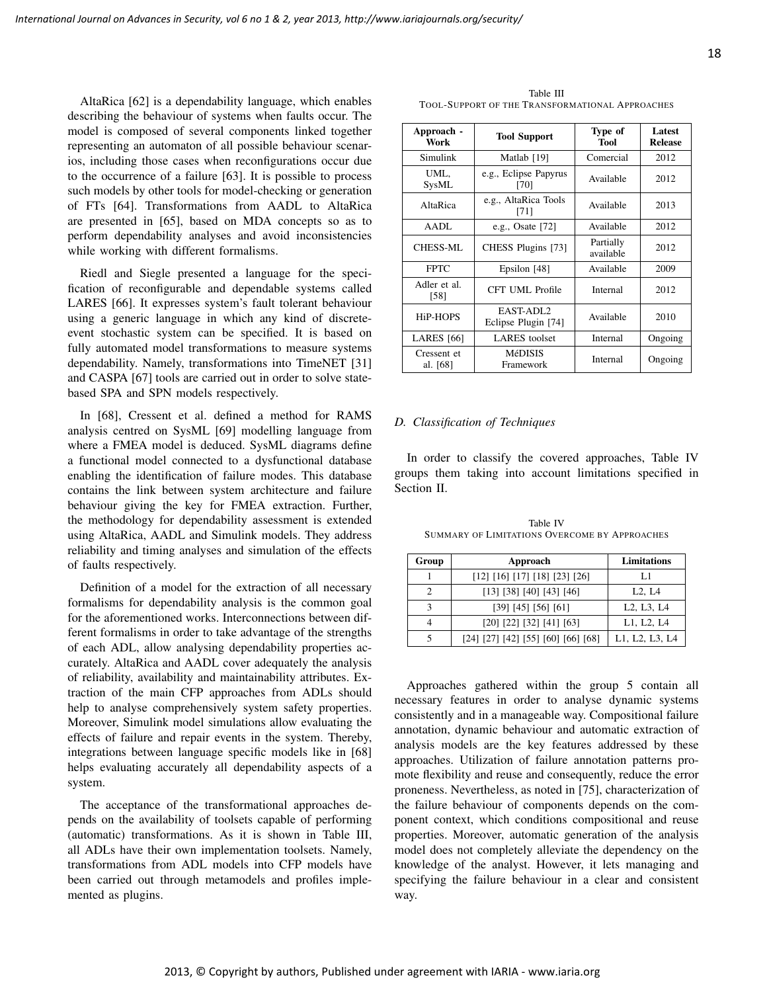AltaRica [62] is a dependability language, which enables describing the behaviour of systems when faults occur. The model is composed of several components linked together representing an automaton of all possible behaviour scenarios, including those cases when reconfigurations occur due to the occurrence of a failure [63]. It is possible to process such models by other tools for model-checking or generation of FTs [64]. Transformations from AADL to AltaRica are presented in [65], based on MDA concepts so as to perform dependability analyses and avoid inconsistencies while working with different formalisms.

Riedl and Siegle presented a language for the specification of reconfigurable and dependable systems called LARES [66]. It expresses system's fault tolerant behaviour using a generic language in which any kind of discreteevent stochastic system can be specified. It is based on fully automated model transformations to measure systems dependability. Namely, transformations into TimeNET [31] and CASPA [67] tools are carried out in order to solve statebased SPA and SPN models respectively.

In [68], Cressent et al. defined a method for RAMS analysis centred on SysML [69] modelling language from where a FMEA model is deduced. SysML diagrams define a functional model connected to a dysfunctional database enabling the identification of failure modes. This database contains the link between system architecture and failure behaviour giving the key for FMEA extraction. Further, the methodology for dependability assessment is extended using AltaRica, AADL and Simulink models. They address reliability and timing analyses and simulation of the effects of faults respectively.

Definition of a model for the extraction of all necessary formalisms for dependability analysis is the common goal for the aforementioned works. Interconnections between different formalisms in order to take advantage of the strengths of each ADL, allow analysing dependability properties accurately. AltaRica and AADL cover adequately the analysis of reliability, availability and maintainability attributes. Extraction of the main CFP approaches from ADLs should help to analyse comprehensively system safety properties. Moreover, Simulink model simulations allow evaluating the effects of failure and repair events in the system. Thereby, integrations between language specific models like in [68] helps evaluating accurately all dependability aspects of a system.

The acceptance of the transformational approaches depends on the availability of toolsets capable of performing (automatic) transformations. As it is shown in Table III, all ADLs have their own implementation toolsets. Namely, transformations from ADL models into CFP models have been carried out through metamodels and profiles implemented as plugins.

Table III TOOL-SUPPORT OF THE TRANSFORMATIONAL APPROACHES

| Approach -<br>Work      | <b>Tool Support</b>              | Type of<br>Tool        | Latest<br><b>Release</b> |
|-------------------------|----------------------------------|------------------------|--------------------------|
| Simulink                | Matlab [19]                      | Comercial              | 2012                     |
| UML.<br>SysML           | e.g., Eclipse Papyrus<br>[70]    | Available              | 2012                     |
| AltaRica                | e.g., AltaRica Tools<br>[71]     | Available              | 2013                     |
| AADL                    | e.g., Osate [72]                 | Available              | 2012                     |
| <b>CHESS-ML</b>         | CHESS Plugins [73]               | Partially<br>available | 2012                     |
| <b>FPTC</b>             | Epsilon [48]                     | Available              | 2009                     |
| Adler et al.<br>[58]    | <b>CFT UML Profile</b>           | Internal               | 2012                     |
| H <sub>i</sub> P-HOPS   | EAST-ADL2<br>Eclipse Plugin [74] | Available              | 2010                     |
| <b>LARES</b> [66]       | <b>LARES</b> toolset             | Internal               | Ongoing                  |
| Cressent et<br>al. [68] | <b>MéDISIS</b><br>Framework      | Internal               | Ongoing                  |

#### *D. Classification of Techniques*

In order to classify the covered approaches, Table IV groups them taking into account limitations specified in Section II.

| Group | Approach                           | Limitations                                      |
|-------|------------------------------------|--------------------------------------------------|
|       | [12] [16] [17] [18] [23] [26]      | L1                                               |
| 2     | [13] [38] [40] [43] [46]           | L2, L4                                           |
| 3     | [39] [45] [56] [61]                | L <sub>2</sub> , L <sub>3</sub> , L <sub>4</sub> |
|       | [20] [22] [32] [41] [63]           | L1, L2, L4                                       |
| 5     | [24] [27] [42] [55] [60] [66] [68] | L1, L2, L3, L4                                   |

Table IV SUMMARY OF LIMITATIONS OVERCOME BY APPROACHES

Approaches gathered within the group 5 contain all necessary features in order to analyse dynamic systems consistently and in a manageable way. Compositional failure annotation, dynamic behaviour and automatic extraction of analysis models are the key features addressed by these approaches. Utilization of failure annotation patterns promote flexibility and reuse and consequently, reduce the error proneness. Nevertheless, as noted in [75], characterization of the failure behaviour of components depends on the component context, which conditions compositional and reuse properties. Moreover, automatic generation of the analysis model does not completely alleviate the dependency on the knowledge of the analyst. However, it lets managing and specifying the failure behaviour in a clear and consistent way.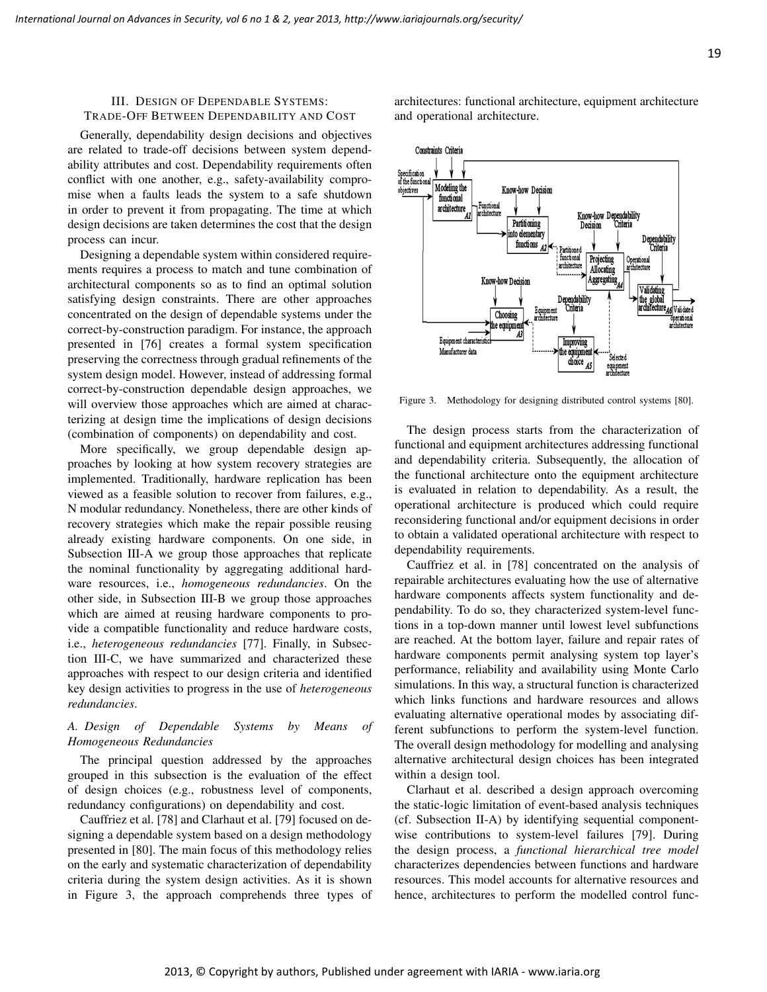# III. DESIGN OF DEPENDABLE SYSTEMS: TRADE-OFF BETWEEN DEPENDABILITY AND COST

Generally, dependability design decisions and objectives are related to trade-off decisions between system dependability attributes and cost. Dependability requirements often conflict with one another, e.g., safety-availability compromise when a faults leads the system to a safe shutdown in order to prevent it from propagating. The time at which design decisions are taken determines the cost that the design process can incur.

Designing a dependable system within considered requirements requires a process to match and tune combination of architectural components so as to find an optimal solution satisfying design constraints. There are other approaches concentrated on the design of dependable systems under the correct-by-construction paradigm. For instance, the approach presented in [76] creates a formal system specification preserving the correctness through gradual refinements of the system design model. However, instead of addressing formal correct-by-construction dependable design approaches, we will overview those approaches which are aimed at characterizing at design time the implications of design decisions (combination of components) on dependability and cost.

More specifically, we group dependable design approaches by looking at how system recovery strategies are implemented. Traditionally, hardware replication has been viewed as a feasible solution to recover from failures, e.g., N modular redundancy. Nonetheless, there are other kinds of recovery strategies which make the repair possible reusing already existing hardware components. On one side, in Subsection III-A we group those approaches that replicate the nominal functionality by aggregating additional hardware resources, i.e., *homogeneous redundancies*. On the other side, in Subsection III-B we group those approaches which are aimed at reusing hardware components to provide a compatible functionality and reduce hardware costs, i.e., *heterogeneous redundancies* [77]. Finally, in Subsection III-C, we have summarized and characterized these approaches with respect to our design criteria and identified key design activities to progress in the use of *heterogeneous redundancies*.

# *A. Design of Dependable Systems by Means of Homogeneous Redundancies*

The principal question addressed by the approaches grouped in this subsection is the evaluation of the effect of design choices (e.g., robustness level of components, redundancy configurations) on dependability and cost.

Cauffriez et al. [78] and Clarhaut et al. [79] focused on designing a dependable system based on a design methodology presented in [80]. The main focus of this methodology relies on the early and systematic characterization of dependability criteria during the system design activities. As it is shown in Figure 3, the approach comprehends three types of architectures: functional architecture, equipment architecture and operational architecture.



Figure 3. Methodology for designing distributed control systems [80].

The design process starts from the characterization of functional and equipment architectures addressing functional and dependability criteria. Subsequently, the allocation of the functional architecture onto the equipment architecture is evaluated in relation to dependability. As a result, the operational architecture is produced which could require reconsidering functional and/or equipment decisions in order to obtain a validated operational architecture with respect to dependability requirements.

Cauffriez et al. in [78] concentrated on the analysis of repairable architectures evaluating how the use of alternative hardware components affects system functionality and dependability. To do so, they characterized system-level functions in a top-down manner until lowest level subfunctions are reached. At the bottom layer, failure and repair rates of hardware components permit analysing system top layer's performance, reliability and availability using Monte Carlo simulations. In this way, a structural function is characterized which links functions and hardware resources and allows evaluating alternative operational modes by associating different subfunctions to perform the system-level function. The overall design methodology for modelling and analysing alternative architectural design choices has been integrated within a design tool.

Clarhaut et al. described a design approach overcoming the static-logic limitation of event-based analysis techniques (cf. Subsection II-A) by identifying sequential componentwise contributions to system-level failures [79]. During the design process, a *functional hierarchical tree model* characterizes dependencies between functions and hardware resources. This model accounts for alternative resources and hence, architectures to perform the modelled control func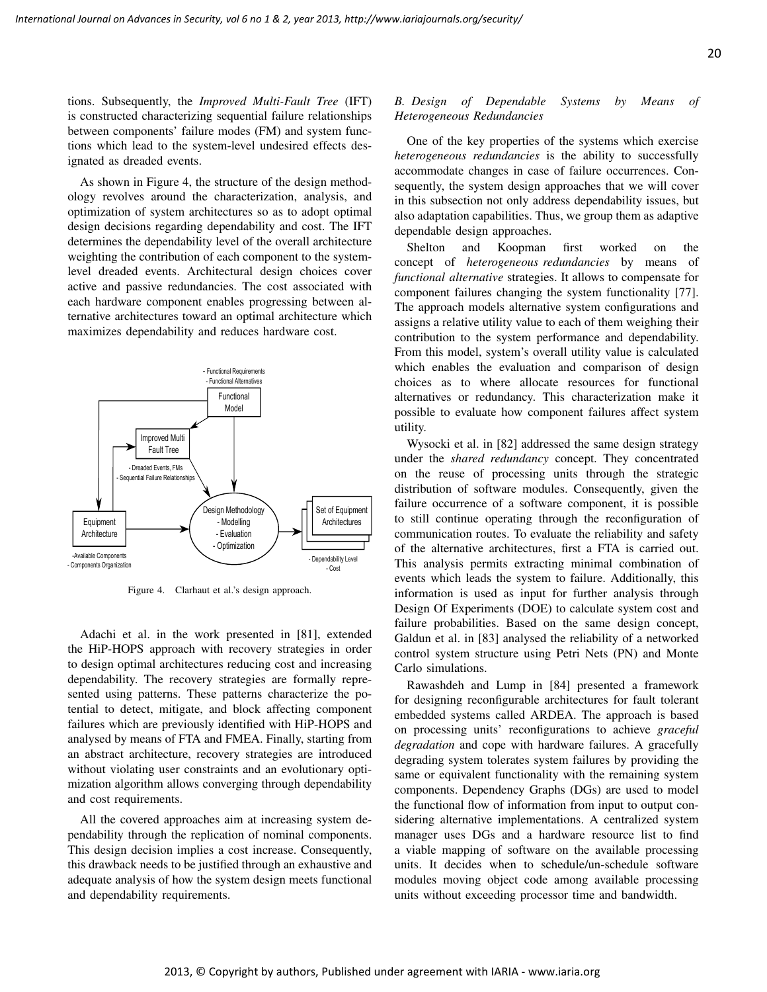tions. Subsequently, the *Improved Multi-Fault Tree* (IFT) is constructed characterizing sequential failure relationships between components' failure modes (FM) and system functions which lead to the system-level undesired effects designated as dreaded events.

As shown in Figure 4, the structure of the design methodology revolves around the characterization, analysis, and optimization of system architectures so as to adopt optimal design decisions regarding dependability and cost. The IFT determines the dependability level of the overall architecture weighting the contribution of each component to the systemlevel dreaded events. Architectural design choices cover active and passive redundancies. The cost associated with each hardware component enables progressing between alternative architectures toward an optimal architecture which maximizes dependability and reduces hardware cost.



Figure 4. Clarhaut et al.'s design approach.

Adachi et al. in the work presented in [81], extended the HiP-HOPS approach with recovery strategies in order to design optimal architectures reducing cost and increasing dependability. The recovery strategies are formally represented using patterns. These patterns characterize the potential to detect, mitigate, and block affecting component failures which are previously identified with HiP-HOPS and analysed by means of FTA and FMEA. Finally, starting from an abstract architecture, recovery strategies are introduced without violating user constraints and an evolutionary optimization algorithm allows converging through dependability and cost requirements.

All the covered approaches aim at increasing system dependability through the replication of nominal components. This design decision implies a cost increase. Consequently, this drawback needs to be justified through an exhaustive and adequate analysis of how the system design meets functional and dependability requirements.

# *B. Design of Dependable Systems by Means of Heterogeneous Redundancies*

One of the key properties of the systems which exercise *heterogeneous redundancies* is the ability to successfully accommodate changes in case of failure occurrences. Consequently, the system design approaches that we will cover in this subsection not only address dependability issues, but also adaptation capabilities. Thus, we group them as adaptive dependable design approaches.

Shelton and Koopman first worked on the concept of *heterogeneous redundancies* by means of *functional alternative* strategies. It allows to compensate for component failures changing the system functionality [77]. The approach models alternative system configurations and assigns a relative utility value to each of them weighing their contribution to the system performance and dependability. From this model, system's overall utility value is calculated which enables the evaluation and comparison of design choices as to where allocate resources for functional alternatives or redundancy. This characterization make it possible to evaluate how component failures affect system utility.

Wysocki et al. in [82] addressed the same design strategy under the *shared redundancy* concept. They concentrated on the reuse of processing units through the strategic distribution of software modules. Consequently, given the failure occurrence of a software component, it is possible to still continue operating through the reconfiguration of communication routes. To evaluate the reliability and safety of the alternative architectures, first a FTA is carried out. This analysis permits extracting minimal combination of events which leads the system to failure. Additionally, this information is used as input for further analysis through Design Of Experiments (DOE) to calculate system cost and failure probabilities. Based on the same design concept, Galdun et al. in [83] analysed the reliability of a networked control system structure using Petri Nets (PN) and Monte Carlo simulations.

Rawashdeh and Lump in [84] presented a framework for designing reconfigurable architectures for fault tolerant embedded systems called ARDEA. The approach is based on processing units' reconfigurations to achieve *graceful degradation* and cope with hardware failures. A gracefully degrading system tolerates system failures by providing the same or equivalent functionality with the remaining system components. Dependency Graphs (DGs) are used to model the functional flow of information from input to output considering alternative implementations. A centralized system manager uses DGs and a hardware resource list to find a viable mapping of software on the available processing units. It decides when to schedule/un-schedule software modules moving object code among available processing units without exceeding processor time and bandwidth.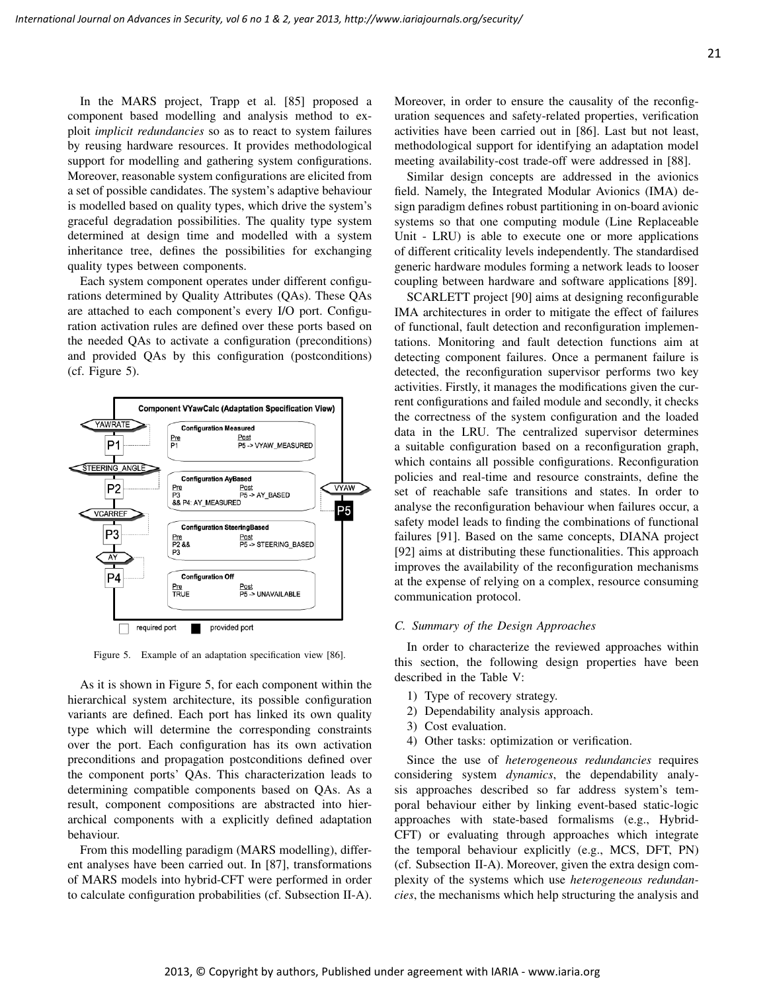In the MARS project, Trapp et al. [85] proposed a component based modelling and analysis method to exploit *implicit redundancies* so as to react to system failures by reusing hardware resources. It provides methodological support for modelling and gathering system configurations. Moreover, reasonable system configurations are elicited from a set of possible candidates. The system's adaptive behaviour is modelled based on quality types, which drive the system's graceful degradation possibilities. The quality type system determined at design time and modelled with a system inheritance tree, defines the possibilities for exchanging quality types between components.

Each system component operates under different configurations determined by Quality Attributes (QAs). These QAs are attached to each component's every I/O port. Configuration activation rules are defined over these ports based on the needed QAs to activate a configuration (preconditions) and provided QAs by this configuration (postconditions) (cf. Figure 5).



Figure 5. Example of an adaptation specification view [86].

As it is shown in Figure 5, for each component within the hierarchical system architecture, its possible configuration variants are defined. Each port has linked its own quality type which will determine the corresponding constraints over the port. Each configuration has its own activation preconditions and propagation postconditions defined over the component ports' QAs. This characterization leads to determining compatible components based on QAs. As a result, component compositions are abstracted into hierarchical components with a explicitly defined adaptation behaviour.

From this modelling paradigm (MARS modelling), different analyses have been carried out. In [87], transformations of MARS models into hybrid-CFT were performed in order to calculate configuration probabilities (cf. Subsection II-A). Moreover, in order to ensure the causality of the reconfiguration sequences and safety-related properties, verification activities have been carried out in [86]. Last but not least, methodological support for identifying an adaptation model meeting availability-cost trade-off were addressed in [88].

Similar design concepts are addressed in the avionics field. Namely, the Integrated Modular Avionics (IMA) design paradigm defines robust partitioning in on-board avionic systems so that one computing module (Line Replaceable Unit - LRU) is able to execute one or more applications of different criticality levels independently. The standardised generic hardware modules forming a network leads to looser coupling between hardware and software applications [89].

SCARLETT project [90] aims at designing reconfigurable IMA architectures in order to mitigate the effect of failures of functional, fault detection and reconfiguration implementations. Monitoring and fault detection functions aim at detecting component failures. Once a permanent failure is detected, the reconfiguration supervisor performs two key activities. Firstly, it manages the modifications given the current configurations and failed module and secondly, it checks the correctness of the system configuration and the loaded data in the LRU. The centralized supervisor determines a suitable configuration based on a reconfiguration graph, which contains all possible configurations. Reconfiguration policies and real-time and resource constraints, define the set of reachable safe transitions and states. In order to analyse the reconfiguration behaviour when failures occur, a safety model leads to finding the combinations of functional failures [91]. Based on the same concepts, DIANA project [92] aims at distributing these functionalities. This approach improves the availability of the reconfiguration mechanisms at the expense of relying on a complex, resource consuming communication protocol.

#### *C. Summary of the Design Approaches*

In order to characterize the reviewed approaches within this section, the following design properties have been described in the Table V:

- 1) Type of recovery strategy.
- 2) Dependability analysis approach.
- 3) Cost evaluation.
- 4) Other tasks: optimization or verification.

Since the use of *heterogeneous redundancies* requires considering system *dynamics*, the dependability analysis approaches described so far address system's temporal behaviour either by linking event-based static-logic approaches with state-based formalisms (e.g., Hybrid-CFT) or evaluating through approaches which integrate the temporal behaviour explicitly (e.g., MCS, DFT, PN) (cf. Subsection II-A). Moreover, given the extra design complexity of the systems which use *heterogeneous redundancies*, the mechanisms which help structuring the analysis and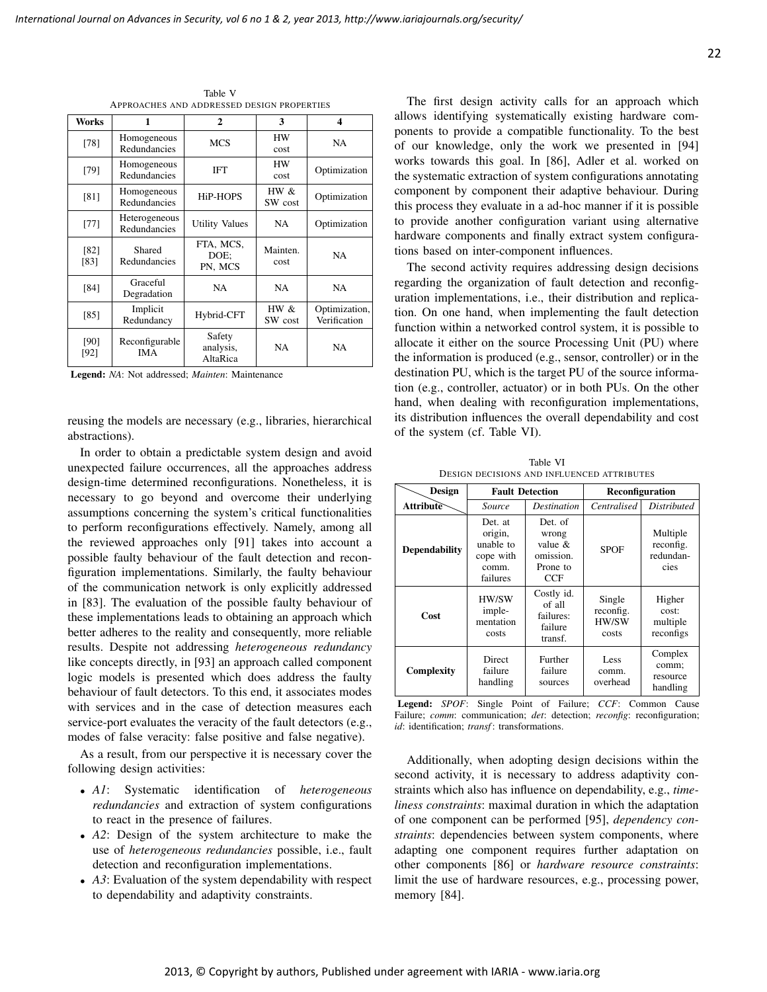Works | 1 | 2 | 3 | 4 [78] Homogeneous Redundancies MCS HW HW NA [79] Homogeneous Redundancies IFT HW  $\begin{array}{c|c}\nHW & \text{Optimization}\n\end{array}$ [81] Homogeneous HiP-HOPS | HW &<br>Redundancies HiP-HOPS | SW cos  $\begin{array}{c|c}\nHW & \& \\
SW & \csc\n\end{array}$  Optimization  $[77]$  Heterogeneous Redundancies Utility Values NA Optimization [82] [83] Shared Redundancies FTA, MCS, DOE; PN, MCS Mainten. cost NA [84] Graceful Degradation NA NA NA  $[85]$  Implicit<br>Redundancy Hybrid-CFT  $\parallel$  HW & SW cost **Optimization** Verification [90] [92] Reconfigurable IMA Safety analysis, AltaRica NA NA

Table V APPROACHES AND ADDRESSED DESIGN PROPERTIES

Legend: *NA*: Not addressed; *Mainten*: Maintenance

reusing the models are necessary (e.g., libraries, hierarchical abstractions).

In order to obtain a predictable system design and avoid unexpected failure occurrences, all the approaches address design-time determined reconfigurations. Nonetheless, it is necessary to go beyond and overcome their underlying assumptions concerning the system's critical functionalities to perform reconfigurations effectively. Namely, among all the reviewed approaches only [91] takes into account a possible faulty behaviour of the fault detection and reconfiguration implementations. Similarly, the faulty behaviour of the communication network is only explicitly addressed in [83]. The evaluation of the possible faulty behaviour of these implementations leads to obtaining an approach which better adheres to the reality and consequently, more reliable results. Despite not addressing *heterogeneous redundancy* like concepts directly, in [93] an approach called component logic models is presented which does address the faulty behaviour of fault detectors. To this end, it associates modes with services and in the case of detection measures each service-port evaluates the veracity of the fault detectors (e.g., modes of false veracity: false positive and false negative).

As a result, from our perspective it is necessary cover the following design activities:

- *A1*: Systematic identification of *heterogeneous redundancies* and extraction of system configurations to react in the presence of failures.
- *A2*: Design of the system architecture to make the use of *heterogeneous redundancies* possible, i.e., fault detection and reconfiguration implementations.
- *A3*: Evaluation of the system dependability with respect to dependability and adaptivity constraints.

The first design activity calls for an approach which allows identifying systematically existing hardware components to provide a compatible functionality. To the best of our knowledge, only the work we presented in [94] works towards this goal. In [86], Adler et al. worked on the systematic extraction of system configurations annotating component by component their adaptive behaviour. During this process they evaluate in a ad-hoc manner if it is possible to provide another configuration variant using alternative hardware components and finally extract system configurations based on inter-component influences.

The second activity requires addressing design decisions regarding the organization of fault detection and reconfiguration implementations, i.e., their distribution and replication. On one hand, when implementing the fault detection function within a networked control system, it is possible to allocate it either on the source Processing Unit (PU) where the information is produced (e.g., sensor, controller) or in the destination PU, which is the target PU of the source information (e.g., controller, actuator) or in both PUs. On the other hand, when dealing with reconfiguration implementations, its distribution influences the overall dependability and cost of the system (cf. Table VI).

Table VI DESIGN DECISIONS AND INFLUENCED ATTRIBUTES

| <b>Design</b>                                      |                                                                   | <b>Fault Detection</b>                                         | Reconfiguration                       |                                            |
|----------------------------------------------------|-------------------------------------------------------------------|----------------------------------------------------------------|---------------------------------------|--------------------------------------------|
| Attribute                                          | Source                                                            | Centralised<br><i>Destination</i>                              |                                       | <b>Distributed</b>                         |
| <b>Dependability</b>                               | Det. at<br>origin,<br>unable to<br>cope with<br>comm.<br>failures | Det. of<br>wrong<br>value $\&$<br>omission.<br>Prone to<br>CCF | <b>SPOF</b>                           | Multiple<br>reconfig.<br>redundan-<br>cies |
| Cost                                               | HW/SW<br>imple-<br>mentation<br>costs                             |                                                                | Single<br>reconfig.<br>HW/SW<br>costs | Higher<br>cost:<br>multiple<br>reconfigs   |
| <b>Direct</b><br>Complexity<br>failure<br>handling |                                                                   | Further<br>failure<br>sources                                  | Less<br>comm.<br>overhead             | Complex<br>comm;<br>resource<br>handling   |

Legend: *SPOF*: Single Point of Failure; *CCF*: Common Cause Failure; *comm*: communication; *det*: detection; *reconfig*: reconfiguration; *id*: identification; *transf*: transformations.

Additionally, when adopting design decisions within the second activity, it is necessary to address adaptivity constraints which also has influence on dependability, e.g., *timeliness constraints*: maximal duration in which the adaptation of one component can be performed [95], *dependency constraints*: dependencies between system components, where adapting one component requires further adaptation on other components [86] or *hardware resource constraints*: limit the use of hardware resources, e.g., processing power, memory [84].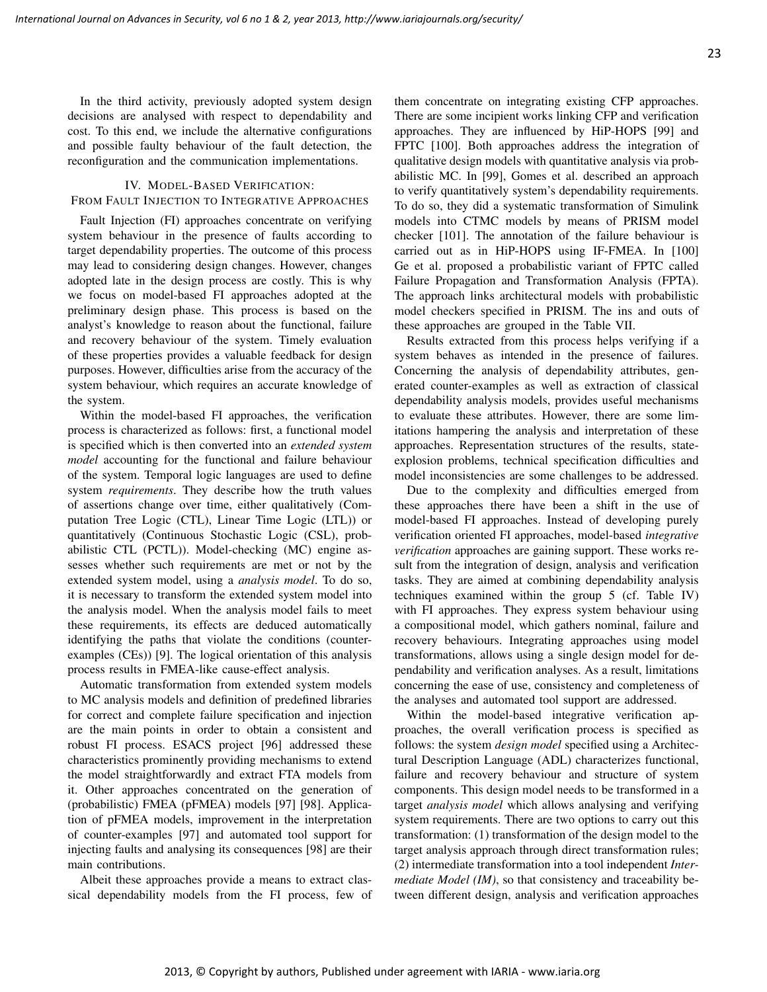In the third activity, previously adopted system design decisions are analysed with respect to dependability and cost. To this end, we include the alternative configurations and possible faulty behaviour of the fault detection, the reconfiguration and the communication implementations.

### IV. MODEL-BASED VERIFICATION:

# FROM FAULT INJECTION TO INTEGRATIVE APPROACHES

Fault Injection (FI) approaches concentrate on verifying system behaviour in the presence of faults according to target dependability properties. The outcome of this process may lead to considering design changes. However, changes adopted late in the design process are costly. This is why we focus on model-based FI approaches adopted at the preliminary design phase. This process is based on the analyst's knowledge to reason about the functional, failure and recovery behaviour of the system. Timely evaluation of these properties provides a valuable feedback for design purposes. However, difficulties arise from the accuracy of the system behaviour, which requires an accurate knowledge of the system.

Within the model-based FI approaches, the verification process is characterized as follows: first, a functional model is specified which is then converted into an *extended system model* accounting for the functional and failure behaviour of the system. Temporal logic languages are used to define system *requirements*. They describe how the truth values of assertions change over time, either qualitatively (Computation Tree Logic (CTL), Linear Time Logic (LTL)) or quantitatively (Continuous Stochastic Logic (CSL), probabilistic CTL (PCTL)). Model-checking (MC) engine assesses whether such requirements are met or not by the extended system model, using a *analysis model*. To do so, it is necessary to transform the extended system model into the analysis model. When the analysis model fails to meet these requirements, its effects are deduced automatically identifying the paths that violate the conditions (counterexamples (CEs)) [9]. The logical orientation of this analysis process results in FMEA-like cause-effect analysis.

Automatic transformation from extended system models to MC analysis models and definition of predefined libraries for correct and complete failure specification and injection are the main points in order to obtain a consistent and robust FI process. ESACS project [96] addressed these characteristics prominently providing mechanisms to extend the model straightforwardly and extract FTA models from it. Other approaches concentrated on the generation of (probabilistic) FMEA (pFMEA) models [97] [98]. Application of pFMEA models, improvement in the interpretation of counter-examples [97] and automated tool support for injecting faults and analysing its consequences [98] are their main contributions.

Albeit these approaches provide a means to extract classical dependability models from the FI process, few of them concentrate on integrating existing CFP approaches. There are some incipient works linking CFP and verification approaches. They are influenced by HiP-HOPS [99] and FPTC [100]. Both approaches address the integration of qualitative design models with quantitative analysis via probabilistic MC. In [99], Gomes et al. described an approach to verify quantitatively system's dependability requirements. To do so, they did a systematic transformation of Simulink models into CTMC models by means of PRISM model checker [101]. The annotation of the failure behaviour is carried out as in HiP-HOPS using IF-FMEA. In [100] Ge et al. proposed a probabilistic variant of FPTC called Failure Propagation and Transformation Analysis (FPTA). The approach links architectural models with probabilistic model checkers specified in PRISM. The ins and outs of these approaches are grouped in the Table VII.

Results extracted from this process helps verifying if a system behaves as intended in the presence of failures. Concerning the analysis of dependability attributes, generated counter-examples as well as extraction of classical dependability analysis models, provides useful mechanisms to evaluate these attributes. However, there are some limitations hampering the analysis and interpretation of these approaches. Representation structures of the results, stateexplosion problems, technical specification difficulties and model inconsistencies are some challenges to be addressed.

Due to the complexity and difficulties emerged from these approaches there have been a shift in the use of model-based FI approaches. Instead of developing purely verification oriented FI approaches, model-based *integrative verification* approaches are gaining support. These works result from the integration of design, analysis and verification tasks. They are aimed at combining dependability analysis techniques examined within the group 5 (cf. Table IV) with FI approaches. They express system behaviour using a compositional model, which gathers nominal, failure and recovery behaviours. Integrating approaches using model transformations, allows using a single design model for dependability and verification analyses. As a result, limitations concerning the ease of use, consistency and completeness of the analyses and automated tool support are addressed.

Within the model-based integrative verification approaches, the overall verification process is specified as follows: the system *design model* specified using a Architectural Description Language (ADL) characterizes functional, failure and recovery behaviour and structure of system components. This design model needs to be transformed in a target *analysis model* which allows analysing and verifying system requirements. There are two options to carry out this transformation: (1) transformation of the design model to the target analysis approach through direct transformation rules; (2) intermediate transformation into a tool independent *Intermediate Model (IM)*, so that consistency and traceability between different design, analysis and verification approaches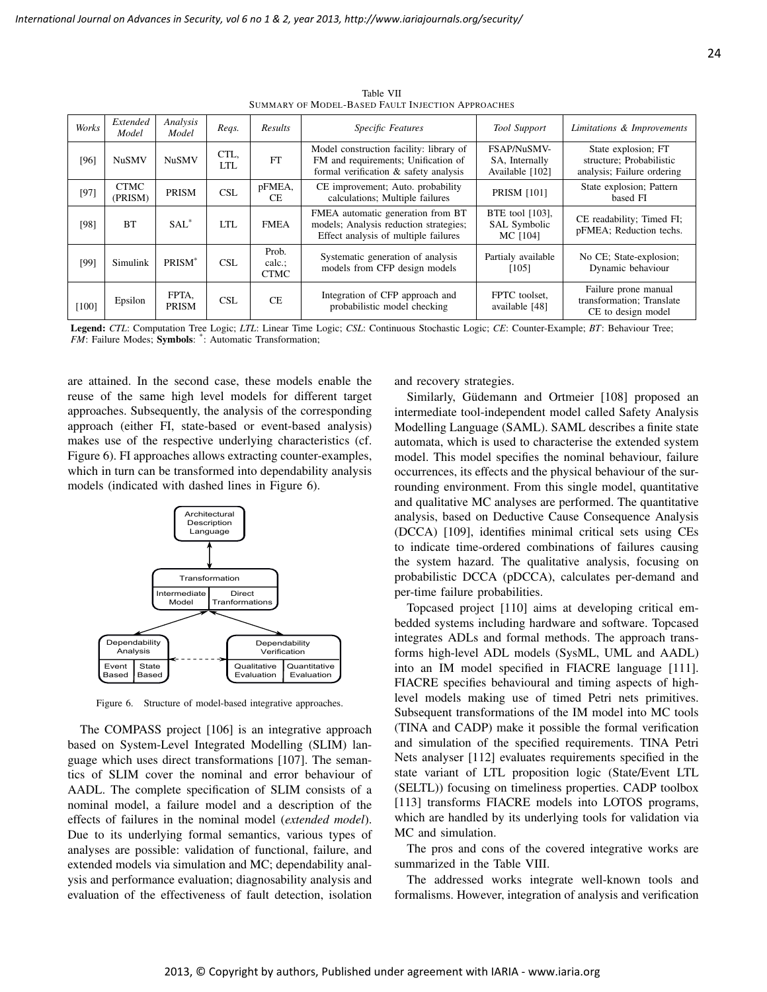| Works | Extended<br>Model      | Analysis<br>Model     | Reqs.        | <b>Results</b>                | Specific Features                                                                                                       | <b>Tool Support</b>                              | Limitations & Improvements                                                    |
|-------|------------------------|-----------------------|--------------|-------------------------------|-------------------------------------------------------------------------------------------------------------------------|--------------------------------------------------|-------------------------------------------------------------------------------|
| [96]  | <b>NuSMV</b>           | <b>NuSMV</b>          | CTL,<br>LTL. | FT                            | Model construction facility: library of<br>FM and requirements; Unification of<br>formal verification & safety analysis | FSAP/NuSMV-<br>SA, Internally<br>Available [102] | State explosion; FT<br>structure; Probabilistic<br>analysis; Failure ordering |
| [97]  | <b>CTMC</b><br>(PRISM) | <b>PRISM</b>          | CSL          | pFMEA,<br>CE.                 | CE improvement; Auto. probability<br>calculations; Multiple failures                                                    | <b>PRISM [101]</b>                               | State explosion; Pattern<br>based FI                                          |
| [98]  | <b>BT</b>              | SAI.                  | LTL          | <b>FMEA</b>                   | FMEA automatic generation from BT<br>models; Analysis reduction strategies;<br>Effect analysis of multiple failures     | BTE tool [103],<br>SAL Symbolic<br>MC [104]      | CE readability; Timed FI;<br>pFMEA; Reduction techs.                          |
| [99]  | Simulink               | PRISM <sup>*</sup>    | <b>CSL</b>   | Prob.<br>calc.<br><b>CTMC</b> | Systematic generation of analysis<br>models from CFP design models                                                      | Partialy available<br>[105]                      | No CE; State-explosion;<br>Dynamic behaviour                                  |
| [100] | Epsilon                | FPTA.<br><b>PRISM</b> | <b>CSL</b>   | CE.                           | Integration of CFP approach and<br>probabilistic model checking                                                         | FPTC toolset.<br>available [48]                  | Failure prone manual<br>transformation; Translate<br>CE to design model       |

Table VII SUMMARY OF MODEL-BASED FAULT INJECTION APPROACHES

Legend: *CTL*: Computation Tree Logic; *LTL*: Linear Time Logic; *CSL*: Continuous Stochastic Logic; *CE*: Counter-Example; *BT*: Behaviour Tree; FM: Failure Modes; Symbols: \*: Automatic Transformation;

are attained. In the second case, these models enable the reuse of the same high level models for different target approaches. Subsequently, the analysis of the corresponding approach (either FI, state-based or event-based analysis) makes use of the respective underlying characteristics (cf. Figure 6). FI approaches allows extracting counter-examples, which in turn can be transformed into dependability analysis models (indicated with dashed lines in Figure 6).



Figure 6. Structure of model-based integrative approaches.

The COMPASS project [106] is an integrative approach based on System-Level Integrated Modelling (SLIM) language which uses direct transformations [107]. The semantics of SLIM cover the nominal and error behaviour of AADL. The complete specification of SLIM consists of a nominal model, a failure model and a description of the effects of failures in the nominal model (*extended model*). Due to its underlying formal semantics, various types of analyses are possible: validation of functional, failure, and extended models via simulation and MC; dependability analysis and performance evaluation; diagnosability analysis and evaluation of the effectiveness of fault detection, isolation and recovery strategies.

Similarly, Güdemann and Ortmeier [108] proposed an intermediate tool-independent model called Safety Analysis Modelling Language (SAML). SAML describes a finite state automata, which is used to characterise the extended system model. This model specifies the nominal behaviour, failure occurrences, its effects and the physical behaviour of the surrounding environment. From this single model, quantitative and qualitative MC analyses are performed. The quantitative analysis, based on Deductive Cause Consequence Analysis (DCCA) [109], identifies minimal critical sets using CEs to indicate time-ordered combinations of failures causing the system hazard. The qualitative analysis, focusing on probabilistic DCCA (pDCCA), calculates per-demand and per-time failure probabilities.

Topcased project [110] aims at developing critical embedded systems including hardware and software. Topcased integrates ADLs and formal methods. The approach transforms high-level ADL models (SysML, UML and AADL) into an IM model specified in FIACRE language [111]. FIACRE specifies behavioural and timing aspects of highlevel models making use of timed Petri nets primitives. Subsequent transformations of the IM model into MC tools (TINA and CADP) make it possible the formal verification and simulation of the specified requirements. TINA Petri Nets analyser [112] evaluates requirements specified in the state variant of LTL proposition logic (State/Event LTL (SELTL)) focusing on timeliness properties. CADP toolbox [113] transforms FIACRE models into LOTOS programs, which are handled by its underlying tools for validation via MC and simulation.

The pros and cons of the covered integrative works are summarized in the Table VIII.

The addressed works integrate well-known tools and formalisms. However, integration of analysis and verification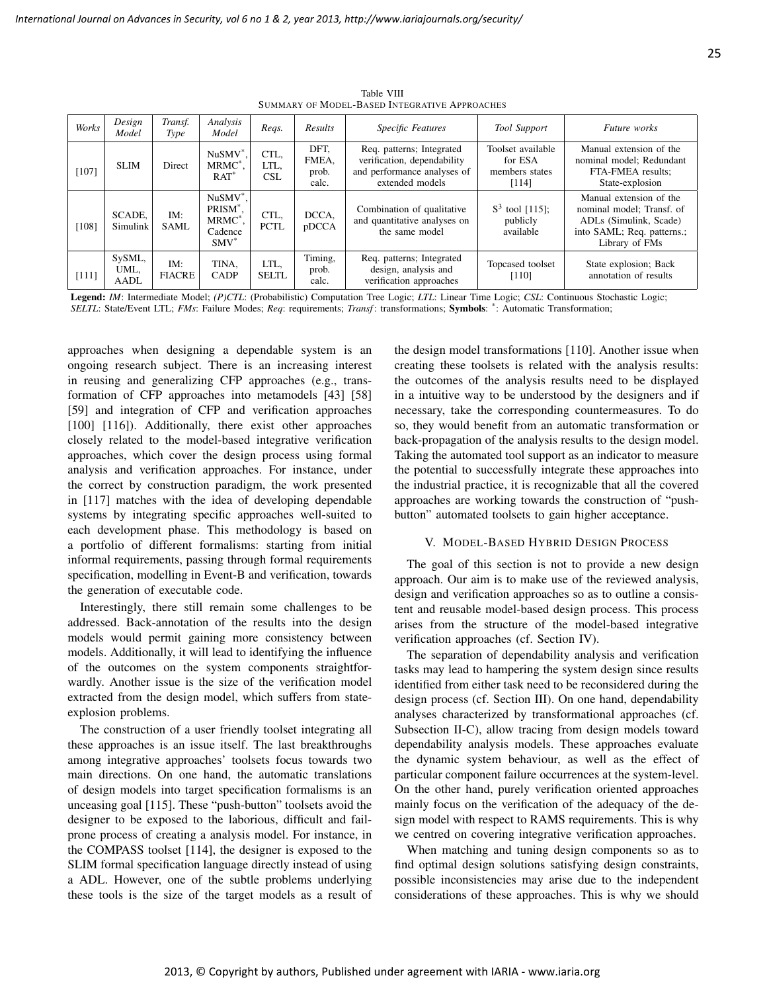| Works | Design<br>Model        | Transf.<br>Type      | Analysis<br>Model                                                                       | Regs.                | Results                         | <b>Specific Features</b>                                                                                   | Tool Support                                            | <b>Future</b> works                                                                                                            |
|-------|------------------------|----------------------|-----------------------------------------------------------------------------------------|----------------------|---------------------------------|------------------------------------------------------------------------------------------------------------|---------------------------------------------------------|--------------------------------------------------------------------------------------------------------------------------------|
| [107] | <b>SLIM</b>            | Direct               | $NuSMV^*$ .<br>$MRMC^*$ .<br>$RAT^*$                                                    | CTL,<br>LTL,<br>CSL  | DFT.<br>FMEA.<br>prob.<br>calc. | Req. patterns; Integrated<br>verification, dependability<br>and performance analyses of<br>extended models | Toolset available<br>for ESA<br>members states<br>[114] | Manual extension of the<br>nominal model: Redundant<br>FTA-FMEA results:<br>State-explosion                                    |
| [108] | SCADE.<br>Simulink     | IM:<br><b>SAML</b>   | NuSMV <sup>*</sup> .<br>PRISM <sup>*</sup><br>MRMC <sup>*</sup> ,<br>Cadence<br>$SMV^*$ | CTL.<br><b>PCTL</b>  | DCCA,<br>pDCCA                  | Combination of qualitative<br>and quantitative analyses on<br>the same model                               | $S^3$ tool [115];<br>publicly<br>available              | Manual extension of the<br>nominal model; Transf. of<br>ADLs (Simulink, Scade)<br>into SAML; Req. patterns.;<br>Library of FMs |
| [111] | SySML,<br>UML,<br>AADL | IM:<br><b>FIACRE</b> | TINA.<br><b>CADP</b>                                                                    | LTL,<br><b>SELTL</b> | Timing,<br>prob.<br>calc.       | Req. patterns; Integrated<br>design, analysis and<br>verification approaches                               | Topcased toolset<br>$[110]$                             | State explosion; Back<br>annotation of results                                                                                 |

Table VIII SUMMARY OF MODEL-BASED INTEGRATIVE APPROACHES

Legend: *IM*: Intermediate Model; *(P)CTL*: (Probabilistic) Computation Tree Logic; *LTL*: Linear Time Logic; *CSL*: Continuous Stochastic Logic; SELTL: State/Event LTL; *FMs*: Failure Modes; *Req*: requirements; *Transf*: transformations; **Symbols**:  $*$ : Automatic Transformation;

approaches when designing a dependable system is an ongoing research subject. There is an increasing interest in reusing and generalizing CFP approaches (e.g., transformation of CFP approaches into metamodels [43] [58] [59] and integration of CFP and verification approaches [100] [116]). Additionally, there exist other approaches closely related to the model-based integrative verification approaches, which cover the design process using formal analysis and verification approaches. For instance, under the correct by construction paradigm, the work presented in [117] matches with the idea of developing dependable systems by integrating specific approaches well-suited to each development phase. This methodology is based on a portfolio of different formalisms: starting from initial informal requirements, passing through formal requirements specification, modelling in Event-B and verification, towards the generation of executable code.

Interestingly, there still remain some challenges to be addressed. Back-annotation of the results into the design models would permit gaining more consistency between models. Additionally, it will lead to identifying the influence of the outcomes on the system components straightforwardly. Another issue is the size of the verification model extracted from the design model, which suffers from stateexplosion problems.

The construction of a user friendly toolset integrating all these approaches is an issue itself. The last breakthroughs among integrative approaches' toolsets focus towards two main directions. On one hand, the automatic translations of design models into target specification formalisms is an unceasing goal [115]. These "push-button" toolsets avoid the designer to be exposed to the laborious, difficult and failprone process of creating a analysis model. For instance, in the COMPASS toolset [114], the designer is exposed to the SLIM formal specification language directly instead of using a ADL. However, one of the subtle problems underlying these tools is the size of the target models as a result of the design model transformations [110]. Another issue when creating these toolsets is related with the analysis results: the outcomes of the analysis results need to be displayed in a intuitive way to be understood by the designers and if necessary, take the corresponding countermeasures. To do so, they would benefit from an automatic transformation or back-propagation of the analysis results to the design model. Taking the automated tool support as an indicator to measure the potential to successfully integrate these approaches into the industrial practice, it is recognizable that all the covered approaches are working towards the construction of "pushbutton" automated toolsets to gain higher acceptance.

#### V. MODEL-BASED HYBRID DESIGN PROCESS

The goal of this section is not to provide a new design approach. Our aim is to make use of the reviewed analysis, design and verification approaches so as to outline a consistent and reusable model-based design process. This process arises from the structure of the model-based integrative verification approaches (cf. Section IV).

The separation of dependability analysis and verification tasks may lead to hampering the system design since results identified from either task need to be reconsidered during the design process (cf. Section III). On one hand, dependability analyses characterized by transformational approaches (cf. Subsection II-C), allow tracing from design models toward dependability analysis models. These approaches evaluate the dynamic system behaviour, as well as the effect of particular component failure occurrences at the system-level. On the other hand, purely verification oriented approaches mainly focus on the verification of the adequacy of the design model with respect to RAMS requirements. This is why we centred on covering integrative verification approaches.

When matching and tuning design components so as to find optimal design solutions satisfying design constraints, possible inconsistencies may arise due to the independent considerations of these approaches. This is why we should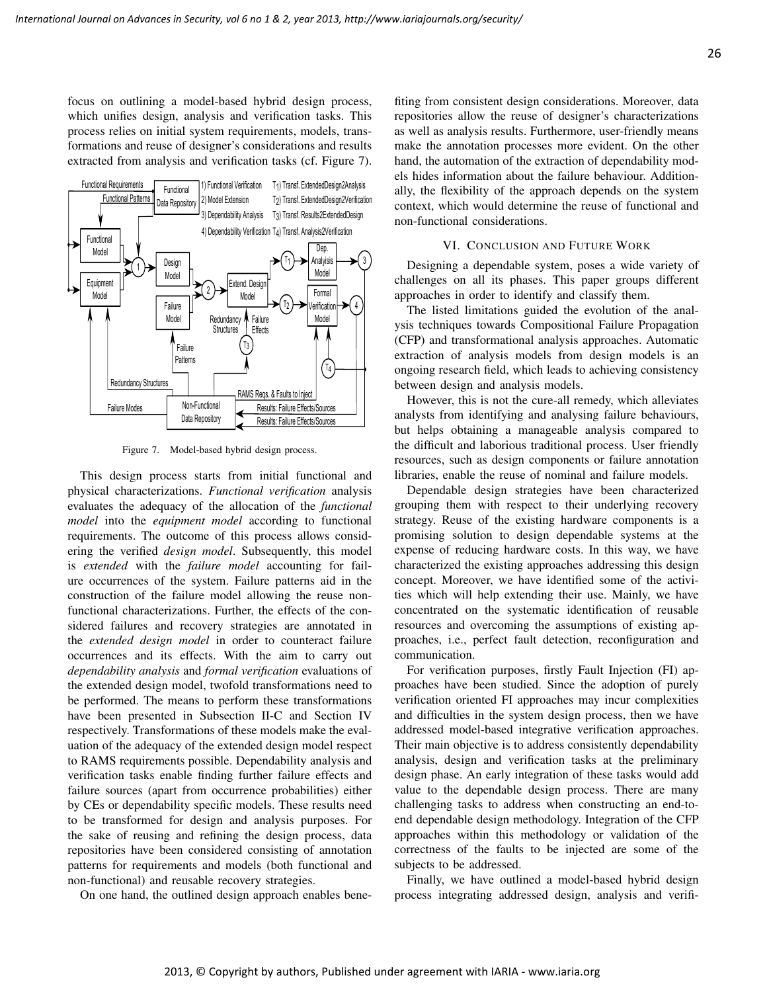26

focus on outlining a model-based hybrid design process, which unifies design, analysis and verification tasks. This process relies on initial system requirements, models, transformations and reuse of designer's considerations and results extracted from analysis and verification tasks (cf. Figure 7).



Figure 7. Model-based hybrid design process.

This design process starts from initial functional and physical characterizations. *Functional verification* analysis evaluates the adequacy of the allocation of the *functional model* into the *equipment model* according to functional requirements. The outcome of this process allows considering the verified *design model*. Subsequently, this model is *extended* with the *failure model* accounting for failure occurrences of the system. Failure patterns aid in the construction of the failure model allowing the reuse nonfunctional characterizations. Further, the effects of the considered failures and recovery strategies are annotated in the *extended design model* in order to counteract failure occurrences and its effects. With the aim to carry out *dependability analysis* and *formal verification* evaluations of the extended design model, twofold transformations need to be performed. The means to perform these transformations have been presented in Subsection II-C and Section IV respectively. Transformations of these models make the evaluation of the adequacy of the extended design model respect to RAMS requirements possible. Dependability analysis and verification tasks enable finding further failure effects and failure sources (apart from occurrence probabilities) either by CEs or dependability specific models. These results need to be transformed for design and analysis purposes. For the sake of reusing and refining the design process, data repositories have been considered consisting of annotation patterns for requirements and models (both functional and non-functional) and reusable recovery strategies.

On one hand, the outlined design approach enables bene-

fiting from consistent design considerations. Moreover, data repositories allow the reuse of designer's characterizations as well as analysis results. Furthermore, user-friendly means make the annotation processes more evident. On the other hand, the automation of the extraction of dependability models hides information about the failure behaviour. Additionally, the flexibility of the approach depends on the system context, which would determine the reuse of functional and non-functional considerations.

#### VI. CONCLUSION AND FUTURE WORK

Designing a dependable system, poses a wide variety of challenges on all its phases. This paper groups different approaches in order to identify and classify them.

The listed limitations guided the evolution of the analysis techniques towards Compositional Failure Propagation (CFP) and transformational analysis approaches. Automatic extraction of analysis models from design models is an ongoing research field, which leads to achieving consistency between design and analysis models.

However, this is not the cure-all remedy, which alleviates analysts from identifying and analysing failure behaviours, but helps obtaining a manageable analysis compared to the difficult and laborious traditional process. User friendly resources, such as design components or failure annotation libraries, enable the reuse of nominal and failure models.

Dependable design strategies have been characterized grouping them with respect to their underlying recovery strategy. Reuse of the existing hardware components is a promising solution to design dependable systems at the expense of reducing hardware costs. In this way, we have characterized the existing approaches addressing this design concept. Moreover, we have identified some of the activities which will help extending their use. Mainly, we have concentrated on the systematic identification of reusable resources and overcoming the assumptions of existing approaches, i.e., perfect fault detection, reconfiguration and communication.

For verification purposes, firstly Fault Injection (FI) approaches have been studied. Since the adoption of purely verification oriented FI approaches may incur complexities and difficulties in the system design process, then we have addressed model-based integrative verification approaches. Their main objective is to address consistently dependability analysis, design and verification tasks at the preliminary design phase. An early integration of these tasks would add value to the dependable design process. There are many challenging tasks to address when constructing an end-toend dependable design methodology. Integration of the CFP approaches within this methodology or validation of the correctness of the faults to be injected are some of the subjects to be addressed.

Finally, we have outlined a model-based hybrid design process integrating addressed design, analysis and verifi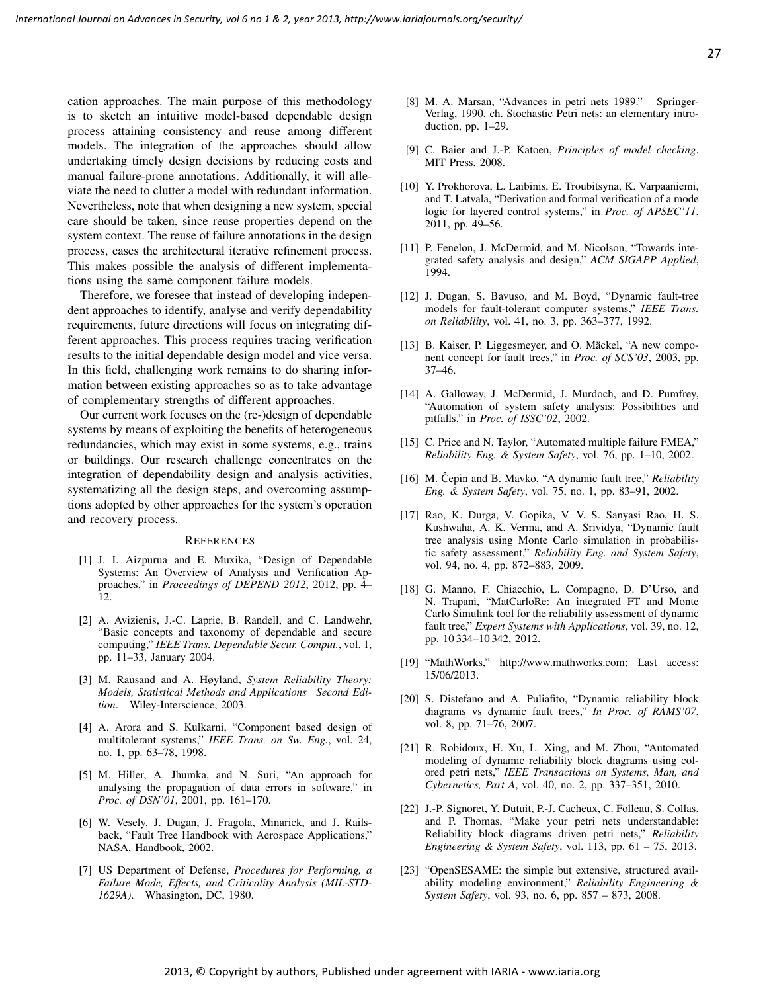cation approaches. The main purpose of this methodology is to sketch an intuitive model-based dependable design process attaining consistency and reuse among different models. The integration of the approaches should allow undertaking timely design decisions by reducing costs and manual failure-prone annotations. Additionally, it will alleviate the need to clutter a model with redundant information. Nevertheless, note that when designing a new system, special care should be taken, since reuse properties depend on the system context. The reuse of failure annotations in the design process, eases the architectural iterative refinement process. This makes possible the analysis of different implementations using the same component failure models.

Therefore, we foresee that instead of developing independent approaches to identify, analyse and verify dependability requirements, future directions will focus on integrating different approaches. This process requires tracing verification results to the initial dependable design model and vice versa. In this field, challenging work remains to do sharing information between existing approaches so as to take advantage of complementary strengths of different approaches.

Our current work focuses on the (re-)design of dependable systems by means of exploiting the benefits of heterogeneous redundancies, which may exist in some systems, e.g., trains or buildings. Our research challenge concentrates on the integration of dependability design and analysis activities, systematizing all the design steps, and overcoming assumptions adopted by other approaches for the system's operation and recovery process.

#### **REFERENCES**

- [1] J. I. Aizpurua and E. Muxika, "Design of Dependable Systems: An Overview of Analysis and Verification Approaches," in *Proceedings of DEPEND 2012*, 2012, pp. 4– 12.
- [2] A. Avizienis, J.-C. Laprie, B. Randell, and C. Landwehr, "Basic concepts and taxonomy of dependable and secure computing," *IEEE Trans. Dependable Secur. Comput.*, vol. 1, pp. 11–33, January 2004.
- [3] M. Rausand and A. Høyland, *System Reliability Theory: Models, Statistical Methods and Applications Second Edition*. Wiley-Interscience, 2003.
- [4] A. Arora and S. Kulkarni, "Component based design of multitolerant systems," *IEEE Trans. on Sw. Eng.*, vol. 24, no. 1, pp. 63–78, 1998.
- [5] M. Hiller, A. Jhumka, and N. Suri, "An approach for analysing the propagation of data errors in software," in *Proc. of DSN'01*, 2001, pp. 161–170.
- [6] W. Vesely, J. Dugan, J. Fragola, Minarick, and J. Railsback, "Fault Tree Handbook with Aerospace Applications," NASA, Handbook, 2002.
- [7] US Department of Defense, *Procedures for Performing, a Failure Mode, Effects, and Criticality Analysis (MIL-STD-1629A)*. Whasington, DC, 1980.
- [8] M. A. Marsan, "Advances in petri nets 1989." Springer-Verlag, 1990, ch. Stochastic Petri nets: an elementary introduction, pp. 1–29.
- [9] C. Baier and J.-P. Katoen, *Principles of model checking*. MIT Press, 2008.
- [10] Y. Prokhorova, L. Laibinis, E. Troubitsyna, K. Varpaaniemi, and T. Latvala, "Derivation and formal verification of a mode logic for layered control systems," in *Proc. of APSEC'11*, 2011, pp. 49–56.
- [11] P. Fenelon, J. McDermid, and M. Nicolson, "Towards integrated safety analysis and design," *ACM SIGAPP Applied*, 1994.
- [12] J. Dugan, S. Bavuso, and M. Boyd, "Dynamic fault-tree models for fault-tolerant computer systems," *IEEE Trans. on Reliability*, vol. 41, no. 3, pp. 363–377, 1992.
- [13] B. Kaiser, P. Liggesmeyer, and O. Mäckel, "A new component concept for fault trees," in *Proc. of SCS'03*, 2003, pp. 37–46.
- [14] A. Galloway, J. McDermid, J. Murdoch, and D. Pumfrey, "Automation of system safety analysis: Possibilities and pitfalls," in *Proc. of ISSC'02*, 2002.
- [15] C. Price and N. Taylor, "Automated multiple failure FMEA," *Reliability Eng. & System Safety*, vol. 76, pp. 1–10, 2002.
- [16] M. Cepin and B. Mavko, "A dynamic fault tree," *Reliability Eng. & System Safety*, vol. 75, no. 1, pp. 83–91, 2002.
- [17] Rao, K. Durga, V. Gopika, V. V. S. Sanyasi Rao, H. S. Kushwaha, A. K. Verma, and A. Srividya, "Dynamic fault tree analysis using Monte Carlo simulation in probabilistic safety assessment," *Reliability Eng. and System Safety*, vol. 94, no. 4, pp. 872–883, 2009.
- [18] G. Manno, F. Chiacchio, L. Compagno, D. D'Urso, and N. Trapani, "MatCarloRe: An integrated FT and Monte Carlo Simulink tool for the reliability assessment of dynamic fault tree," *Expert Systems with Applications*, vol. 39, no. 12, pp. 10 334–10 342, 2012.
- [19] "MathWorks," http://www.mathworks.com; Last access: 15/06/2013.
- [20] S. Distefano and A. Puliafito, "Dynamic reliability block diagrams vs dynamic fault trees," *In Proc. of RAMS'07*, vol. 8, pp. 71–76, 2007.
- [21] R. Robidoux, H. Xu, L. Xing, and M. Zhou, "Automated modeling of dynamic reliability block diagrams using colored petri nets," *IEEE Transactions on Systems, Man, and Cybernetics, Part A*, vol. 40, no. 2, pp. 337–351, 2010.
- [22] J.-P. Signoret, Y. Dutuit, P.-J. Cacheux, C. Folleau, S. Collas, and P. Thomas, "Make your petri nets understandable: Reliability block diagrams driven petri nets," *Reliability Engineering & System Safety*, vol. 113, pp. 61 – 75, 2013.
- [23] "OpenSESAME: the simple but extensive, structured availability modeling environment," *Reliability Engineering & System Safety*, vol. 93, no. 6, pp. 857 – 873, 2008.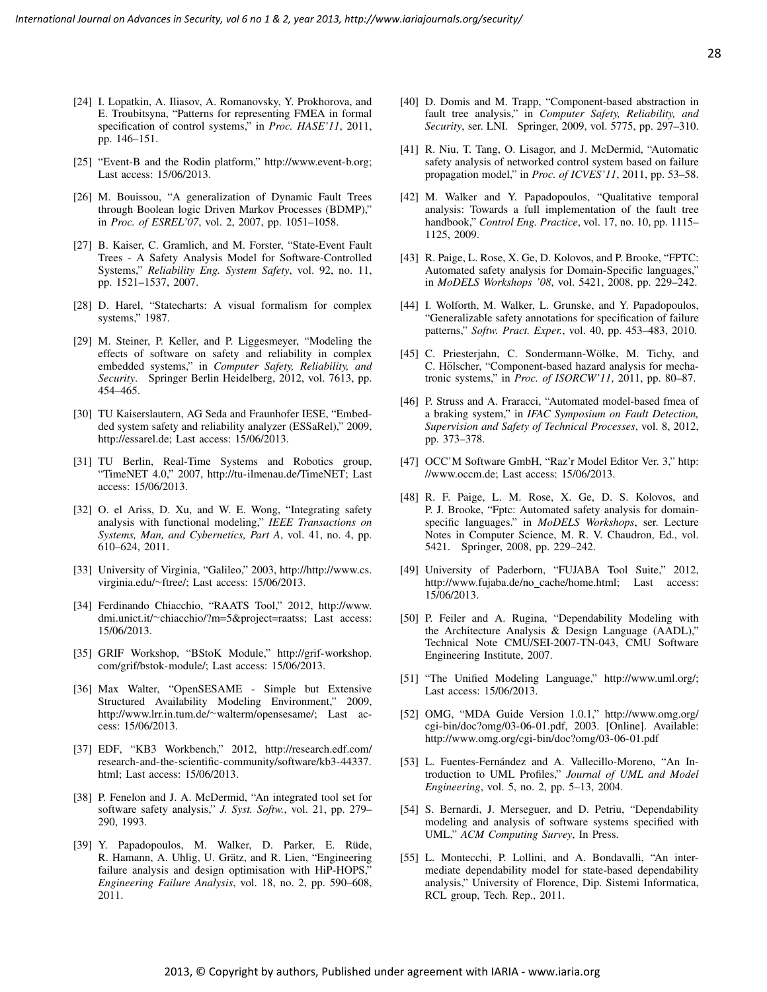- [24] I. Lopatkin, A. Iliasov, A. Romanovsky, Y. Prokhorova, and E. Troubitsyna, "Patterns for representing FMEA in formal specification of control systems," in *Proc. HASE'11*, 2011, pp. 146–151.
- [25] "Event-B and the Rodin platform," http://www.event-b.org; Last access: 15/06/2013.
- [26] M. Bouissou, "A generalization of Dynamic Fault Trees through Boolean logic Driven Markov Processes (BDMP)," in *Proc. of ESREL'07*, vol. 2, 2007, pp. 1051–1058.
- [27] B. Kaiser, C. Gramlich, and M. Forster, "State-Event Fault Trees - A Safety Analysis Model for Software-Controlled Systems," *Reliability Eng. System Safety*, vol. 92, no. 11, pp. 1521–1537, 2007.
- [28] D. Harel, "Statecharts: A visual formalism for complex systems," 1987.
- [29] M. Steiner, P. Keller, and P. Liggesmeyer, "Modeling the effects of software on safety and reliability in complex embedded systems," in *Computer Safety, Reliability, and Security*. Springer Berlin Heidelberg, 2012, vol. 7613, pp. 454–465.
- [30] TU Kaiserslautern, AG Seda and Fraunhofer IESE, "Embedded system safety and reliability analyzer (ESSaRel)," 2009, http://essarel.de; Last access: 15/06/2013.
- [31] TU Berlin, Real-Time Systems and Robotics group, "TimeNET 4.0," 2007, http://tu-ilmenau.de/TimeNET; Last access: 15/06/2013.
- [32] O. el Ariss, D. Xu, and W. E. Wong, "Integrating safety analysis with functional modeling," *IEEE Transactions on Systems, Man, and Cybernetics, Part A*, vol. 41, no. 4, pp. 610–624, 2011.
- [33] University of Virginia, "Galileo," 2003, http://http://www.cs. virginia.edu/∼ftree/; Last access: 15/06/2013.
- [34] Ferdinando Chiacchio, "RAATS Tool," 2012, http://www. dmi.unict.it/∼chiacchio/?m=5&project=raatss; Last access: 15/06/2013.
- [35] GRIF Workshop, "BStoK Module," http://grif-workshop. com/grif/bstok-module/; Last access: 15/06/2013.
- [36] Max Walter, "OpenSESAME Simple but Extensive Structured Availability Modeling Environment," 2009, http://www.lrr.in.tum.de/∼walterm/opensesame/; Last access: 15/06/2013.
- [37] EDF, "KB3 Workbench," 2012, http://research.edf.com/ research-and-the-scientific-community/software/kb3-44337. html; Last access: 15/06/2013.
- [38] P. Fenelon and J. A. McDermid, "An integrated tool set for software safety analysis," *J. Syst. Softw.*, vol. 21, pp. 279– 290, 1993.
- [39] Y. Papadopoulos, M. Walker, D. Parker, E. Rüde, R. Hamann, A. Uhlig, U. Grätz, and R. Lien, "Engineering failure analysis and design optimisation with HiP-HOPS," *Engineering Failure Analysis*, vol. 18, no. 2, pp. 590–608, 2011.
- [40] D. Domis and M. Trapp, "Component-based abstraction in fault tree analysis," in *Computer Safety, Reliability, and Security*, ser. LNI. Springer, 2009, vol. 5775, pp. 297–310.
- [41] R. Niu, T. Tang, O. Lisagor, and J. McDermid, "Automatic safety analysis of networked control system based on failure propagation model," in *Proc. of ICVES'11*, 2011, pp. 53–58.
- [42] M. Walker and Y. Papadopoulos, "Qualitative temporal analysis: Towards a full implementation of the fault tree handbook," *Control Eng. Practice*, vol. 17, no. 10, pp. 1115– 1125, 2009.
- [43] R. Paige, L. Rose, X. Ge, D. Kolovos, and P. Brooke, "FPTC: Automated safety analysis for Domain-Specific languages," in *MoDELS Workshops '08*, vol. 5421, 2008, pp. 229–242.
- [44] I. Wolforth, M. Walker, L. Grunske, and Y. Papadopoulos, "Generalizable safety annotations for specification of failure patterns," *Softw. Pract. Exper.*, vol. 40, pp. 453–483, 2010.
- [45] C. Priesterjahn, C. Sondermann-Wölke, M. Tichy, and C. Hölscher, "Component-based hazard analysis for mechatronic systems," in *Proc. of ISORCW'11*, 2011, pp. 80–87.
- [46] P. Struss and A. Fraracci, "Automated model-based fmea of a braking system," in *IFAC Symposium on Fault Detection, Supervision and Safety of Technical Processes*, vol. 8, 2012, pp. 373–378.
- [47] OCC'M Software GmbH, "Raz'r Model Editor Ver. 3," http: //www.occm.de; Last access: 15/06/2013.
- [48] R. F. Paige, L. M. Rose, X. Ge, D. S. Kolovos, and P. J. Brooke, "Fptc: Automated safety analysis for domainspecific languages." in *MoDELS Workshops*, ser. Lecture Notes in Computer Science, M. R. V. Chaudron, Ed., vol. 5421. Springer, 2008, pp. 229–242.
- [49] University of Paderborn, "FUJABA Tool Suite," 2012, http://www.fujaba.de/no cache/home.html; Last access: 15/06/2013.
- [50] P. Feiler and A. Rugina, "Dependability Modeling with the Architecture Analysis & Design Language (AADL)," Technical Note CMU/SEI-2007-TN-043, CMU Software Engineering Institute, 2007.
- [51] "The Unified Modeling Language," http://www.uml.org/; Last access: 15/06/2013.
- [52] OMG, "MDA Guide Version 1.0.1," http://www.omg.org/ cgi-bin/doc?omg/03-06-01.pdf, 2003. [Online]. Available: http://www.omg.org/cgi-bin/doc?omg/03-06-01.pdf
- [53] L. Fuentes-Fernández and A. Vallecillo-Moreno, "An Introduction to UML Profiles," *Journal of UML and Model Engineering*, vol. 5, no. 2, pp. 5–13, 2004.
- [54] S. Bernardi, J. Merseguer, and D. Petriu, "Dependability modeling and analysis of software systems specified with UML," *ACM Computing Survey*, In Press.
- [55] L. Montecchi, P. Lollini, and A. Bondavalli, "An intermediate dependability model for state-based dependability analysis," University of Florence, Dip. Sistemi Informatica, RCL group, Tech. Rep., 2011.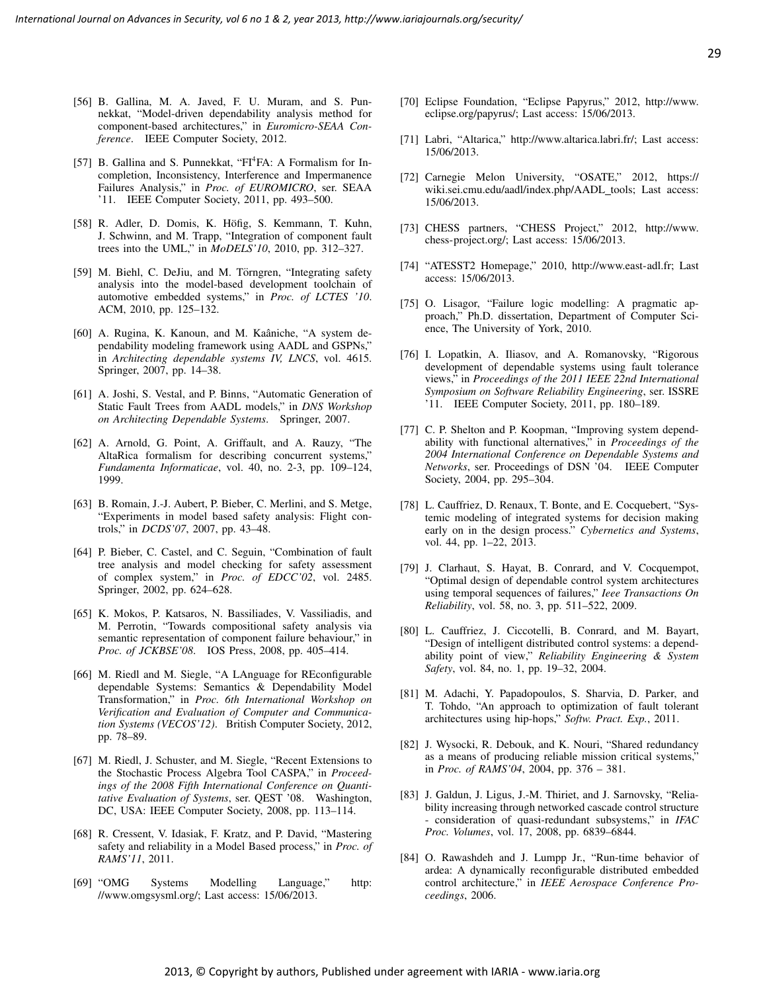- [56] B. Gallina, M. A. Javed, F. U. Muram, and S. Punnekkat, "Model-driven dependability analysis method for component-based architectures," in *Euromicro-SEAA Conference*. IEEE Computer Society, 2012.
- [57] B. Gallina and S. Punnekkat, "FI<sup>4</sup>FA: A Formalism for Incompletion, Inconsistency, Interference and Impermanence Failures Analysis," in *Proc. of EUROMICRO*, ser. SEAA '11. IEEE Computer Society, 2011, pp. 493–500.
- [58] R. Adler, D. Domis, K. Höfig, S. Kemmann, T. Kuhn, J. Schwinn, and M. Trapp, "Integration of component fault trees into the UML," in *MoDELS'10*, 2010, pp. 312–327.
- [59] M. Biehl, C. DeJiu, and M. Törngren, "Integrating safety analysis into the model-based development toolchain of automotive embedded systems," in *Proc. of LCTES '10*. ACM, 2010, pp. 125–132.
- [60] A. Rugina, K. Kanoun, and M. Kaâniche, "A system dependability modeling framework using AADL and GSPNs," in *Architecting dependable systems IV, LNCS*, vol. 4615. Springer, 2007, pp. 14–38.
- [61] A. Joshi, S. Vestal, and P. Binns, "Automatic Generation of Static Fault Trees from AADL models," in *DNS Workshop on Architecting Dependable Systems*. Springer, 2007.
- [62] A. Arnold, G. Point, A. Griffault, and A. Rauzy, "The AltaRica formalism for describing concurrent systems," *Fundamenta Informaticae*, vol. 40, no. 2-3, pp. 109–124, 1999.
- [63] B. Romain, J.-J. Aubert, P. Bieber, C. Merlini, and S. Metge, "Experiments in model based safety analysis: Flight controls," in *DCDS'07*, 2007, pp. 43–48.
- [64] P. Bieber, C. Castel, and C. Seguin, "Combination of fault tree analysis and model checking for safety assessment of complex system," in *Proc. of EDCC'02*, vol. 2485. Springer, 2002, pp. 624–628.
- [65] K. Mokos, P. Katsaros, N. Bassiliades, V. Vassiliadis, and M. Perrotin, "Towards compositional safety analysis via semantic representation of component failure behaviour," in *Proc. of JCKBSE'08*. IOS Press, 2008, pp. 405–414.
- [66] M. Riedl and M. Siegle, "A LAnguage for REconfigurable dependable Systems: Semantics & Dependability Model Transformation," in *Proc. 6th International Workshop on Verification and Evaluation of Computer and Communication Systems (VECOS'12)*. British Computer Society, 2012, pp. 78–89.
- [67] M. Riedl, J. Schuster, and M. Siegle, "Recent Extensions to the Stochastic Process Algebra Tool CASPA," in *Proceedings of the 2008 Fifth International Conference on Quantitative Evaluation of Systems*, ser. QEST '08. Washington, DC, USA: IEEE Computer Society, 2008, pp. 113–114.
- [68] R. Cressent, V. Idasiak, F. Kratz, and P. David, "Mastering safety and reliability in a Model Based process," in *Proc. of RAMS'11*, 2011.
- [69] "OMG Systems Modelling Language," http: //www.omgsysml.org/; Last access: 15/06/2013.
- [70] Eclipse Foundation, "Eclipse Papyrus," 2012, http://www. eclipse.org/papyrus/; Last access: 15/06/2013.
- [71] Labri, "Altarica," http://www.altarica.labri.fr/; Last access: 15/06/2013.
- [72] Carnegie Melon University, "OSATE," 2012, https:// wiki.sei.cmu.edu/aadl/index.php/AADL\_tools; Last access: 15/06/2013.
- [73] CHESS partners, "CHESS Project," 2012, http://www. chess-project.org/; Last access: 15/06/2013.
- [74] "ATESST2 Homepage," 2010, http://www.east-adl.fr; Last access: 15/06/2013.
- [75] O. Lisagor, "Failure logic modelling: A pragmatic approach," Ph.D. dissertation, Department of Computer Science, The University of York, 2010.
- [76] I. Lopatkin, A. Iliasov, and A. Romanovsky, "Rigorous development of dependable systems using fault tolerance views," in *Proceedings of the 2011 IEEE 22nd International Symposium on Software Reliability Engineering*, ser. ISSRE '11. IEEE Computer Society, 2011, pp. 180–189.
- [77] C. P. Shelton and P. Koopman, "Improving system dependability with functional alternatives," in *Proceedings of the 2004 International Conference on Dependable Systems and Networks*, ser. Proceedings of DSN '04. IEEE Computer Society, 2004, pp. 295–304.
- [78] L. Cauffriez, D. Renaux, T. Bonte, and E. Cocquebert, "Systemic modeling of integrated systems for decision making early on in the design process." *Cybernetics and Systems*, vol. 44, pp. 1–22, 2013.
- [79] J. Clarhaut, S. Hayat, B. Conrard, and V. Cocquempot, "Optimal design of dependable control system architectures using temporal sequences of failures," *Ieee Transactions On Reliability*, vol. 58, no. 3, pp. 511–522, 2009.
- [80] L. Cauffriez, J. Ciccotelli, B. Conrard, and M. Bayart, "Design of intelligent distributed control systems: a dependability point of view," *Reliability Engineering & System Safety*, vol. 84, no. 1, pp. 19–32, 2004.
- [81] M. Adachi, Y. Papadopoulos, S. Sharvia, D. Parker, and T. Tohdo, "An approach to optimization of fault tolerant architectures using hip-hops," *Softw. Pract. Exp.*, 2011.
- [82] J. Wysocki, R. Debouk, and K. Nouri, "Shared redundancy as a means of producing reliable mission critical systems," in *Proc. of RAMS'04*, 2004, pp. 376 – 381.
- [83] J. Galdun, J. Ligus, J.-M. Thiriet, and J. Sarnovsky, "Reliability increasing through networked cascade control structure - consideration of quasi-redundant subsystems," in *IFAC Proc. Volumes*, vol. 17, 2008, pp. 6839–6844.
- [84] O. Rawashdeh and J. Lumpp Jr., "Run-time behavior of ardea: A dynamically reconfigurable distributed embedded control architecture," in *IEEE Aerospace Conference Proceedings*, 2006.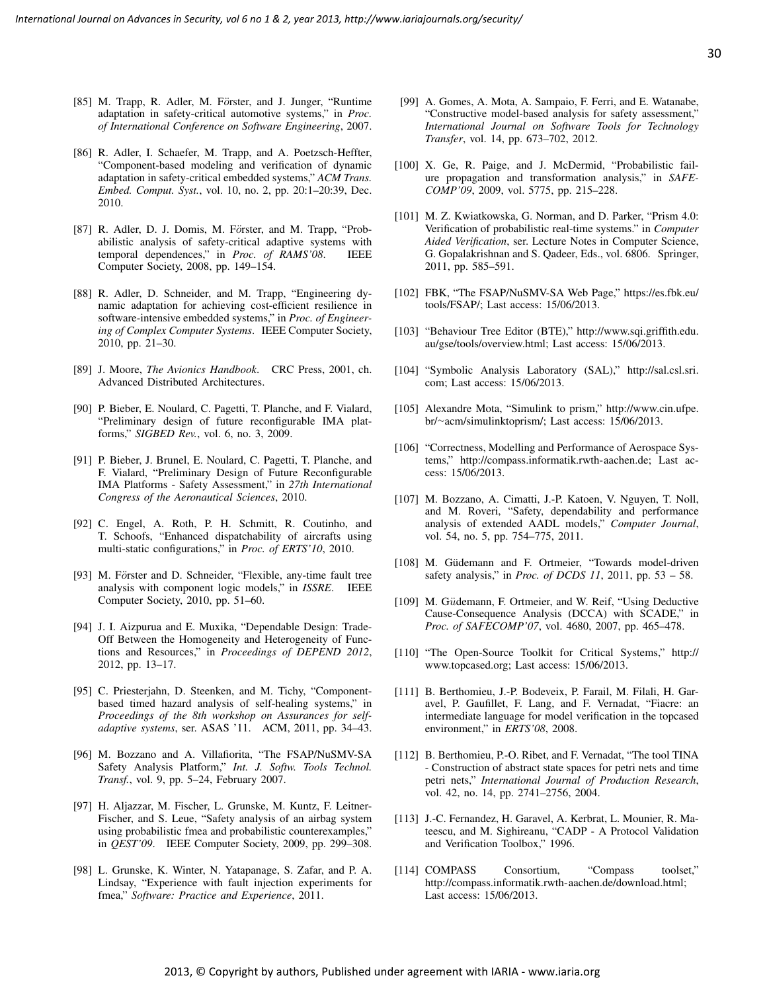- [85] M. Trapp, R. Adler, M. Förster, and J. Junger, "Runtime adaptation in safety-critical automotive systems," in *Proc. of International Conference on Software Engineering*, 2007.
- [86] R. Adler, I. Schaefer, M. Trapp, and A. Poetzsch-Heffter, "Component-based modeling and verification of dynamic adaptation in safety-critical embedded systems," *ACM Trans. Embed. Comput. Syst.*, vol. 10, no. 2, pp. 20:1–20:39, Dec. 2010.
- [87] R. Adler, D. J. Domis, M. Förster, and M. Trapp, "Probabilistic analysis of safety-critical adaptive systems with temporal dependences," in *Proc. of RAMS'08*. IEEE Computer Society, 2008, pp. 149–154.
- [88] R. Adler, D. Schneider, and M. Trapp, "Engineering dynamic adaptation for achieving cost-efficient resilience in software-intensive embedded systems," in *Proc. of Engineering of Complex Computer Systems*. IEEE Computer Society, 2010, pp. 21–30.
- [89] J. Moore, *The Avionics Handbook*. CRC Press, 2001, ch. Advanced Distributed Architectures.
- [90] P. Bieber, E. Noulard, C. Pagetti, T. Planche, and F. Vialard, "Preliminary design of future reconfigurable IMA platforms," *SIGBED Rev.*, vol. 6, no. 3, 2009.
- [91] P. Bieber, J. Brunel, E. Noulard, C. Pagetti, T. Planche, and F. Vialard, "Preliminary Design of Future Reconfigurable IMA Platforms - Safety Assessment," in *27th International Congress of the Aeronautical Sciences*, 2010.
- [92] C. Engel, A. Roth, P. H. Schmitt, R. Coutinho, and T. Schoofs, "Enhanced dispatchability of aircrafts using multi-static configurations," in *Proc. of ERTS'10*, 2010.
- [93] M. Förster and D. Schneider, "Flexible, any-time fault tree analysis with component logic models," in *ISSRE*. IEEE Computer Society, 2010, pp. 51–60.
- [94] J. I. Aizpurua and E. Muxika, "Dependable Design: Trade-Off Between the Homogeneity and Heterogeneity of Functions and Resources," in *Proceedings of DEPEND 2012*, 2012, pp. 13–17.
- [95] C. Priesterjahn, D. Steenken, and M. Tichy, "Componentbased timed hazard analysis of self-healing systems," in *Proceedings of the 8th workshop on Assurances for selfadaptive systems*, ser. ASAS '11. ACM, 2011, pp. 34–43.
- [96] M. Bozzano and A. Villafiorita, "The FSAP/NuSMV-SA Safety Analysis Platform," *Int. J. Softw. Tools Technol. Transf.*, vol. 9, pp. 5–24, February 2007.
- [97] H. Aljazzar, M. Fischer, L. Grunske, M. Kuntz, F. Leitner-Fischer, and S. Leue, "Safety analysis of an airbag system using probabilistic fmea and probabilistic counterexamples," in *QEST'09*. IEEE Computer Society, 2009, pp. 299–308.
- [98] L. Grunske, K. Winter, N. Yatapanage, S. Zafar, and P. A. Lindsay, "Experience with fault injection experiments for fmea," *Software: Practice and Experience*, 2011.
- [99] A. Gomes, A. Mota, A. Sampaio, F. Ferri, and E. Watanabe, "Constructive model-based analysis for safety assessment," *International Journal on Software Tools for Technology Transfer*, vol. 14, pp. 673–702, 2012.
- [100] X. Ge, R. Paige, and J. McDermid, "Probabilistic failure propagation and transformation analysis," in *SAFE-COMP'09*, 2009, vol. 5775, pp. 215–228.
- [101] M. Z. Kwiatkowska, G. Norman, and D. Parker, "Prism 4.0: Verification of probabilistic real-time systems." in *Computer Aided Verification*, ser. Lecture Notes in Computer Science, G. Gopalakrishnan and S. Qadeer, Eds., vol. 6806. Springer, 2011, pp. 585–591.
- [102] FBK, "The FSAP/NuSMV-SA Web Page," https://es.fbk.eu/ tools/FSAP/; Last access: 15/06/2013.
- [103] "Behaviour Tree Editor (BTE)," http://www.sqi.griffith.edu. au/gse/tools/overview.html; Last access: 15/06/2013.
- [104] "Symbolic Analysis Laboratory (SAL)," http://sal.csl.sri. com; Last access: 15/06/2013.
- [105] Alexandre Mota, "Simulink to prism," http://www.cin.ufpe. br/∼acm/simulinktoprism/; Last access: 15/06/2013.
- [106] "Correctness, Modelling and Performance of Aerospace Systems," http://compass.informatik.rwth-aachen.de; Last access: 15/06/2013.
- [107] M. Bozzano, A. Cimatti, J.-P. Katoen, V. Nguyen, T. Noll, and M. Roveri, "Safety, dependability and performance analysis of extended AADL models," *Computer Journal*, vol. 54, no. 5, pp. 754–775, 2011.
- [108] M. Güdemann and F. Ortmeier, "Towards model-driven safety analysis," in *Proc. of DCDS 11*, 2011, pp. 53 – 58.
- [109] M. Güdemann, F. Ortmeier, and W. Reif, "Using Deductive Cause-Consequence Analysis (DCCA) with SCADE," in *Proc. of SAFECOMP'07*, vol. 4680, 2007, pp. 465–478.
- [110] "The Open-Source Toolkit for Critical Systems," http:// www.topcased.org; Last access: 15/06/2013.
- [111] B. Berthomieu, J.-P. Bodeveix, P. Farail, M. Filali, H. Garavel, P. Gaufillet, F. Lang, and F. Vernadat, "Fiacre: an intermediate language for model verification in the topcased environment," in *ERTS'08*, 2008.
- [112] B. Berthomieu, P.-O. Ribet, and F. Vernadat, "The tool TINA - Construction of abstract state spaces for petri nets and time petri nets," *International Journal of Production Research*, vol. 42, no. 14, pp. 2741–2756, 2004.
- [113] J.-C. Fernandez, H. Garavel, A. Kerbrat, L. Mounier, R. Mateescu, and M. Sighireanu, "CADP - A Protocol Validation and Verification Toolbox," 1996.
- [114] COMPASS Consortium, "Compass toolset," http://compass.informatik.rwth-aachen.de/download.html; Last access: 15/06/2013.